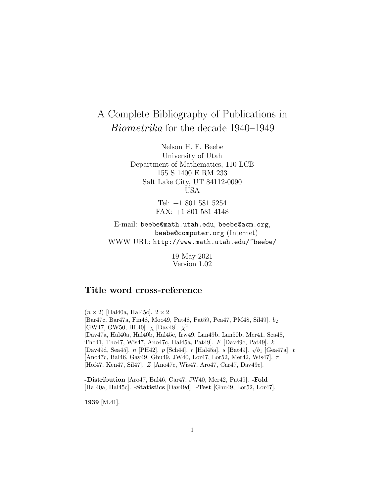# A Complete Bibliography of Publications in Biometrika for the decade 1940–1949

Nelson H. F. Beebe University of Utah Department of Mathematics, 110 LCB 155 S 1400 E RM 233 Salt Lake City, UT 84112-0090 USA

> Tel: +1 801 581 5254 FAX: +1 801 581 4148

E-mail: beebe@math.utah.edu, beebe@acm.org, beebe@computer.org (Internet) WWW URL: http://www.math.utah.edu/~beebe/

> 19 May 2021 Version 1.02

# **Title word cross-reference**

 $(n \times 2)$  [Hal40a, Hal45c].  $2 \times 2$ [Bar47c, Bar47a, Fin48, Moo49, Pat48, Pat59, Pea47, PM48, Sil49]. b<sup>2</sup> [GW47, GW50, HL40].  $\chi$  [Dav48].  $\chi^2$ [Dav47a, Hal40a, Hal40b, Hal45c, Irw49, Lan49b, Lan50b, Mer41, Sea48, Tho41, Tho47, Wis47, Ano47c, Hal45a, Pat49]. F [Dav49c, Pat49]. k [Dav49d, Sea45]. n [PH42]. p [Sch44]. r [Hal45a]. s [Bat49].  $\sqrt{b_1}$  [Gea47a]. t [Ano47c, Bal46, Gay49, Ghu49, JW40, Lor47, Lor52, Mer42, Wis47]. τ [Hof47, Ken47, Sil47]. Z [Ano47c, Wis47, Aro47, Car47, Dav49c].

**-Distribution** [Aro47, Bal46, Car47, JW40, Mer42, Pat49]. **-Fold** [Hal40a, Hal45c]. **-Statistics** [Dav49d]. **-Test** [Ghu49, Lor52, Lor47].

**1939** [M.41].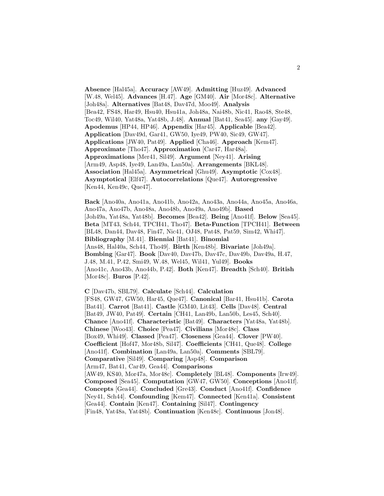**Absence** [Hal45a]. **Accuracy** [AW49]. **Admitting** [Huz49]. **Advanced** [W.48, Wel45]. **Advances** [H.47]. **Age** [GM40]. **Air** [Mor48c]. **Alternative** [Joh48a]. **Alternatives** [Bat48, Dav47d, Moo49]. **Analysis** [Bea42, FS48, Har49, Hsu40, Hsu41a, Joh48a, Nai48b, Nic41, Rao48, Ste48, Toc49, Wil40, Yat48a, Yat48b, J.48]. **Annual** [Bat41, Sea45]. **any** [Gay49]. **Apodemus** [HP44, HP46]. **Appendix** [Har45]. **Applicable** [Bea42]. **Application** [Dav49d, Gar41, GW50, Iye49, PW40, Sic49, GW47]. **Applications** [JW40, Pat49]. **Applied** [Cha46]. **Approach** [Kem47]. **Approximate** [Tho47]. **Approximation** [Car47, Har48a]. **Approximations** [Mer41, Sil49]. **Argument** [Ney41]. **Arising** [Arm49, Asp48, Iye49, Lan49a, Lan50a]. **Arrangements** [BKL48]. **Association** [Hal45a]. **Asymmetrical** [Ghu49]. **Asymptotic** [Cox48]. **Asymptotical** [Elf47]. **Autocorrelations** [Que47]. **Autoregressive** [Ken44, Ken49c, Que47].

**Back** [Ano40a, Ano41a, Ano41b, Ano42a, Ano43a, Ano44a, Ano45a, Ano46a, Ano47a, Ano47b, Ano48a, Ano48b, Ano49a, Ano49b]. **Based** [Joh49a, Yat48a, Yat48b]. **Becomes** [Bea42]. **Being** [Ano41f]. **Below** [Sea45]. **Beta** [MT43, Sch44, TPCH41, Tho47]. **Beta-Function** [TPCH41]. **Between** [BL48, Dan44, Dav48, Fin47, Nic41, OJ48, Pat48, Pat59, Sim42, Whi47]. **Bibliography** [M.41]. **Biennial** [Bat41]. **Binomial** [Ans48, Hal40a, Sch44, Tho49]. **Birth** [Ken48b]. **Bivariate** [Joh49a]. **Bombing** [Gar47]. **Book** [Dav40, Dav47b, Dav47c, Dav49b, Dav49a, H.47, J.48, M.41, P.42, Smi49, W.48, Wel45, Wil41, Yul49]. **Books** [Ano41c, Ano43b, Ano44b, P.42]. **Both** [Ken47]. **Breadth** [Sch40]. **British** [Mor48c]. **Buros** [P.42].

**C** [Dav47b, SBL79]. **Calculate** [Sch44]. **Calculation** [FS48, GW47, GW50, Har45, Que47]. **Canonical** [Bar41, Hsu41b]. **Carota** [Bat41]. **Carrot** [Bat41]. **Castle** [GM40, Lit43]. **Cells** [Dav48]. **Central** [Bat49, JW40, Pat49]. **Certain** [CH41, Lan49b, Lan50b, Les45, Sch40]. **Chance** [Ano41f]. **Characteristic** [Bat49]. **Characters** [Yat48a, Yat48b]. **Chinese** [Woo43]. **Choice** [Pea47]. **Civilians** [Mor48c]. **Class** [Box49, Whi49]. **Classed** [Pea47]. **Closeness** [Gea44]. **Clover** [PW40]. **Coefficient** [Hof47, Mor48b, Sil47]. **Coefficients** [CH41, Que48]. **College** [Ano41f]. **Combination** [Lan49a, Lan50a]. **Comments** [SBL79]. **Comparative** [Sil49]. **Comparing** [Asp48]. **Comparison** [Arm47, Bat41, Car49, Gea44]. **Comparisons** [AW49, KS40, Mor47a, Mor48c]. **Completely** [BL48]. **Components** [Irw49]. **Composed** [Sea45]. **Computation** [GW47, GW50]. **Conceptions** [Ano41f]. **Concepts** [Gea44]. **Concluded** [Gre43]. **Conduct** [Ano41f]. **Confidence** [Ney41, Sch44]. **Confounding** [Kem47]. **Connected** [Ken41a]. **Consistent** [Gea44]. **Contain** [Ken47]. **Containing** [Sil47]. **Contingency** [Fin48, Yat48a, Yat48b]. **Continuation** [Ken48c]. **Continuous** [Jon48].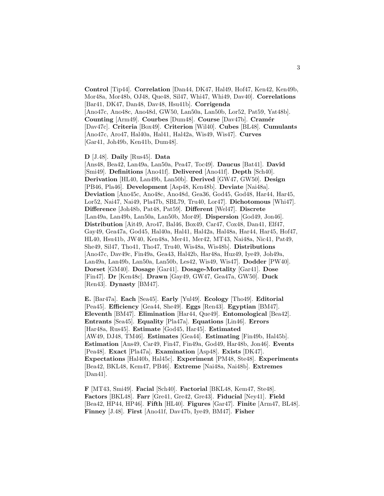**Control** [Tip44]. **Correlation** [Dan44, DK47, Hal49, Hof47, Ken42, Ken49b, Mor48a, Mor48b, OJ48, Que48, Sil47, Whi47, Whi49, Dav40]. **Correlations** [Bar41, DK47, Dan48, Dav48, Hsu41b]. **Corrigenda** [Ano47c, Ano48c, Ano48d, GW50, Lan50a, Lan50b, Lor52, Pat59, Yat48b]. **Counting** [Arm49]. **Courbes** [Dum48]. **Course** [Dav47b]. **Cram´er** [Dav47c]. **Criteria** [Box49]. **Criterion** [Wil40]. **Cubes** [BL48]. **Cumulants** [Ano47c, Aro47, Hal40a, Hal41, Hal42a, Wis49, Wis47]. **Curves** [Gar41, Joh49b, Ken41b, Dum48].

**D** [J.48]. **Daily** [Rus45]. **Data**

[Ans48, Bea42, Lan49a, Lan50a, Pea47, Toc49]. **Daucus** [Bat41]. **David** [Smi49]. **Definitions** [Ano41f]. **Delivered** [Ano41f]. **Depth** [Sch40]. **Derivation** [HL40, Lan49b, Lan50b]. **Derived** [GW47, GW50]. **Design** [PB46, Pla46]. **Development** [Asp48, Ken48b]. **Deviate** [Nai48a]. **Deviation** [Ano45c, Ano48c, Ano48d, Gea36, God45, God48, Har44, Har45, Lor52, Nai47, Nai49, Pla47b, SBL79, Tru40, Lor47]. **Dichotomous** [Whi47]. **Difference** [Joh48b, Pat48, Pat59]. **Different** [Wel47]. **Discrete** [Lan49a, Lan49b, Lan50a, Lan50b, Mor49]. **Dispersion** [God49, Jon46]. **Distribution** [Ait49, Aro47, Bal46, Box49, Car47, Cox48, Dan41, Elf47, Gay49, Gea47a, God45, Hal40a, Hal41, Hal42a, Hal48a, Har44, Har45, Hof47, HL40, Hsu41b, JW40, Ken48a, Mer41, Mer42, MT43, Nai48a, Nic41, Pat49, She49, Sil47, Tho41, Tho47, Tru40, Wis48a, Wis48b]. **Distributions** [Ano47c, Dav49c, Fin49a, Gea43, Hal42b, Har48a, Huz49, Iye49, Joh49a, Lan49a, Lan49b, Lan50a, Lan50b, Les42, Wis49, Wis47]. **Dodder** [PW40]. **Dorset** [GM40]. **Dosage** [Gar41]. **Dosage-Mortality** [Gar41]. **Dose** [Fin47]. **Dr** [Ken48c]. **Drawn** [Gay49, GW47, Gea47a, GW50]. **Duck** [Ren43]. **Dynasty** [BM47].

**E.** [Bar47a]. **Each** [Sea45]. **Early** [Yul49]. **Ecology** [Tho49]. **Editorial** [Pea45]. **Efficiency** [Gea44, She49]. **Eggs** [Ren43]. **Egyptian** [BM47]. **Eleventh** [BM47]. **Elimination** [Har44, Que49]. **Entomological** [Bea42]. **Entrants** [Sea45]. **Equality** [Pla47a]. **Equations** [Lin46]. **Errors** [Har48a, Rus45]. **Estimate** [God45, Har45]. **Estimated** [AW49, DJ48, TM46]. **Estimates** [Gea44]. **Estimating** [Fin49b, Hal45b]. **Estimation** [Ans49, Car49, Fin47, Fin49a, God49, Har48b, Jon46]. **Events** [Pea48]. **Exact** [Pla47a]. **Examination** [Asp48]. **Exists** [DK47]. **Expectations** [Hal40b, Hal45c]. **Experiment** [PM48, Ste48]. **Experiments** [Bea42, BKL48, Kem47, PB46]. **Extreme** [Nai48a, Nai48b]. **Extremes**  $[Dan41]$ .

**F** [MT43, Smi49]. **Facial** [Sch40]. **Factorial** [BKL48, Kem47, Ste48]. **Factors** [BKL48]. **Farr** [Gre41, Gre42, Gre43]. **Fiducial** [Ney41]. **Field** [Bea42, HP44, HP46]. **Fifth** [HL40]. **Figures** [Gar47]. **Finite** [Arm47, BL48]. **Finney** [J.48]. **First** [Ano41f, Dav47b, Iye49, BM47]. **Fisher**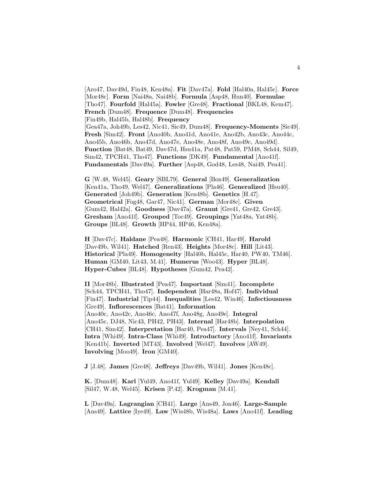[Aro47, Dav49d, Fin48, Ken48a]. **Fit** [Dav47a]. **Fold** [Hal40a, Hal45c]. **Force** [Mor48c]. **Form** [Nai48a, Nai48b]. **Formula** [Asp48, Hun40]. **Formulae** [Tho47]. **Fourfold** [Hal45a]. **Fowler** [Gre48]. **Fractional** [BKL48, Kem47]. **French** [Dum48]. **Frequence** [Dum48]. **Frequencies** [Fin49b, Hal45b, Hal48b]. **Frequency** [Gea47a, Joh49b, Les42, Nic41, Sic49, Dum48]. **Frequency-Moments** [Sic49]. **Fresh** [Sim42]. **Front** [Ano40b, Ano41d, Ano41e, Ano42b, Ano43c, Ano44c, Ano45b, Ano46b, Ano47d, Ano47e, Ano48e, Ano48f, Ano49c, Ano49d]. **Function** [Bat48, Bat49, Dav47d, Hsu41a, Pat48, Pat59, PM48, Sch44, Sil49, Sim42, TPCH41, Tho47]. **Functions** [DK49]. **Fundamental** [Ano41f]. **Fundamentals** [Dav49a]. **Further** [Asp48, God48, Les48, Nai49, Pea41].

**G** [W.48, Wel45]. **Geary** [SBL79]. **General** [Box49]. **Generalization** [Ken41a, Tho49, Wel47]. **Generalizations** [Pla46]. **Generalized** [Hsu40]. **Generated** [Joh49b]. **Generation** [Ken48b]. **Genetics** [H.47]. **Geometrical** [Fog48, Gar47, Nic41]. **German** [Mor48c]. **Given** [Gum42, Hal42a]. **Goodness** [Dav47a]. **Graunt** [Gre41, Gre42, Gre43]. **Gresham** [Ano41f]. **Grouped** [Toc49]. **Groupings** [Yat48a, Yat48b]. **Groups** [BL48]. **Growth** [HP44, HP46, Ken48a].

**H** [Dav47c]. **Haldane** [Pea48]. **Harmonic** [CH41, Har49]. **Harold** [Dav49b, Wil41]. **Hatched** [Ren43]. **Heights** [Mor48c]. **Hill** [Lit43]. **Historical** [Pla49]. **Homogeneity** [Hal40b, Hal45c, Har40, PW40, TM46]. **Human** [GM40, Lit43, M.41]. **Humerus** [Woo43]. **Hyper** [BL48]. **Hyper-Cubes** [BL48]. **Hypotheses** [Gum42, Pea42].

**II** [Mor48b]. **Illustrated** [Pea47]. **Important** [Sim41]. **Incomplete** [Sch44, TPCH41, Tho47]. **Independent** [Har48a, Hof47]. **Individual** [Fin47]. **Industrial** [Tip44]. **Inequalities** [Les42, Win46]. **Infectiousness** [Gre49]. **Inflorescences** [Bat41]. **Information** [Ano40c, Ano42c, Ano46c, Ano47f, Ano48g, Ano49e]. **Integral** [Ano45c, DJ48, Nic43, PH42, PH43]. **Internal** [Har48b]. **Interpolation** [CH41, Sim42]. **Interpretation** [Bar40, Pea47]. **Intervals** [Ney41, Sch44]. **Intra** [Whi49]. **Intra-Class** [Whi49]. **Introductory** [Ano41f]. **Invariants** [Ken41b]. **Inverted** [MT43]. **Involved** [Wel47]. **Involves** [AW49]. **Involving** [Moo49]. **Iron** [GM40].

**J** [J.48]. **James** [Gre48]. **Jeffreys** [Dav49b, Wil41]. **Jones** [Ken48c].

**K.** [Dum48]. **Karl** [Yul49, Ano41f, Yul49]. **Kelley** [Dav49a]. **Kendall** [Sil47, W.48, Wel45]. **Krisen** [P.42]. **Krogman** [M.41].

**L** [Dav49a]. **Lagrangian** [CH41]. **Large** [Ans49, Jon46]. **Large-Sample** [Ans49]. **Lattice** [Iye49]. **Law** [Wis48b, Wis48a]. **Laws** [Ano41f]. **Leading**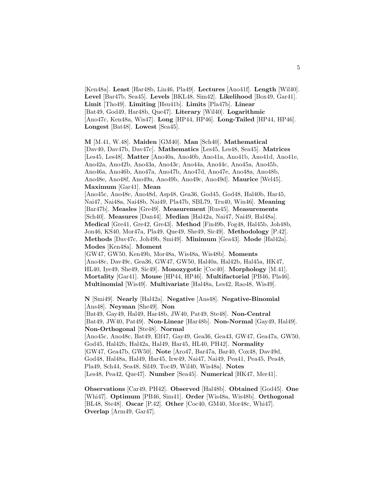[Ken48a]. **Least** [Har48b, Lin46, Pla49]. **Lectures** [Ano41f]. **Length** [Wil40]. **Level** [Bar47b, Sea45]. **Levels** [BKL48, Sim42]. **Likelihood** [Box49, Gar41]. **Limit** [Tho49]. **Limiting** [Hsu41b]. **Limits** [Pla47b]. **Linear** [Bat49, God49, Har48b, Que47]. **Literary** [Wil40]. **Logarithmic** [Ano47c, Ken48a, Wis47]. **Long** [HP44, HP46]. **Long-Tailed** [HP44, HP46]. **Longest** [Bat48]. **Lowest** [Sea45].

**M** [M.41, W.48]. **Maiden** [GM40]. **Man** [Sch40]. **Mathematical** [Dav40, Dav47b, Dav47c]. **Mathematics** [Les45, Les48, Sea45]. **Matrices** [Les45, Les48]. **Matter** [Ano40a, Ano40b, Ano41a, Ano41b, Ano41d, Ano41e, Ano42a, Ano42b, Ano43a, Ano43c, Ano44a, Ano44c, Ano45a, Ano45b, Ano46a, Ano46b, Ano47a, Ano47b, Ano47d, Ano47e, Ano48a, Ano48b, Ano48e, Ano48f, Ano49a, Ano49b, Ano49c, Ano49d]. **Maurice** [Wel45]. **Maximum** [Gar41]. **Mean**

[Ano45c, Ano48c, Ano48d, Asp48, Gea36, God45, God48, Hal40b, Har45, Nai47, Nai48a, Nai48b, Nai49, Pla47b, SBL79, Tru40, Win46]. **Meaning** [Bar47b]. **Measles** [Gre49]. **Measurement** [Rus45]. **Measurements** [Sch40]. **Measures** [Dan44]. **Median** [Hal42a, Nai47, Nai49, Hal48a]. **Medical** [Gre41, Gre42, Gre43]. **Method** [Fin49b, Fog48, Hal45b, Joh48b, Jon46, KS40, Mor47a, Pla49, Que49, She49, Sic49]. **Methodology** [P.42]. **Methods** [Dav47c, Joh49b, Smi49]. **Minimum** [Gea43]. **Mode** [Hal42a]. **Modes** [Ken48a]. **Moment**

[GW47, GW50, Ken49b, Mor48a, Wis48a, Wis48b]. **Moments** [Ano48c, Dav49c, Gea36, GW47, GW50, Hal40a, Hal42b, Hal45a, HK47, HL40, Iye49, She49, Sic49]. **Monozygotic** [Coc40]. **Morphology** [M.41]. **Mortality** [Gar41]. **Mouse** [HP44, HP46]. **Multifactorial** [PB46, Pla46]. **Multinomial** [Wis49]. **Multivariate** [Hal48a, Les42, Rao48, Wis49].

**N** [Smi49]. **Nearly** [Hal42a]. **Negative** [Ans48]. **Negative-Binomial** [Ans48]. **Neyman** [She49]. **Non** [Bat49, Gay49, Hal49, Har48b, JW40, Pat49, Ste48]. **Non-Central** [Bat49, JW40, Pat49]. **Non-Linear** [Har48b]. **Non-Normal** [Gay49, Hal49]. **Non-Orthogonal** [Ste48]. **Normal** [Ano45c, Ano48c, Bat49, Elf47, Gay49, Gea36, Gea43, GW47, Gea47a, GW50, God45, Hal42b, Hal42a, Hal49, Har45, HL40, PH42]. **Normality** [GW47, Gea47b, GW50]. **Note** [Aro47, Bar47a, Bar40, Cox48, Dav49d, God48, Hal48a, Hal49, Har45, Irw49, Nai47, Nai49, Pea41, Pea45, Pea48, Pla49, Sch44, Sea48, Sil49, Toc49, Wil40, Wis48a]. **Notes** [Les48, Pea42, Que47]. **Number** [Sea45]. **Numerical** [HK47, Mer41].

**Observations** [Car49, PH42]. **Observed** [Hal48b]. **Obtained** [God45]. **One** [Whi47]. **Optimum** [PB46, Sim41]. **Order** [Wis48a, Wis48b]. **Orthogonal** [BL48, Ste48]. **Oscar** [P.42]. **Other** [Coc40, GM40, Mor48c, Whi47]. **Overlap** [Arm49, Gar47].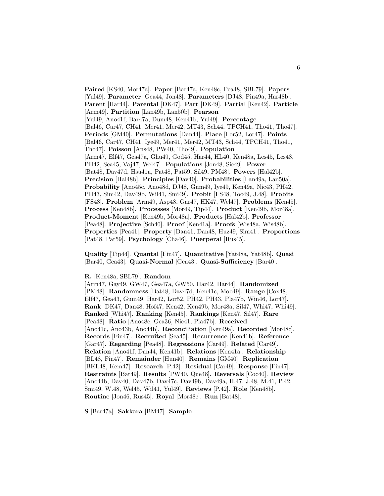**Paired** [KS40, Mor47a]. **Paper** [Bar47a, Ken48c, Pea48, SBL79]. **Papers** [Yul49]. **Parameter** [Gea44, Jon48]. **Parameters** [DJ48, Fin49a, Har48b]. **Parent** [Har44]. **Parental** [DK47]. **Part** [DK49]. **Partial** [Ken42]. **Particle** [Arm49]. **Partition** [Lan49b, Lan50b]. **Pearson** [Yul49, Ano41f, Bar47a, Dum48, Ken41b, Yul49]. **Percentage** [Bal46, Car47, CH41, Mer41, Mer42, MT43, Sch44, TPCH41, Tho41, Tho47]. **Periods** [GM40]. **Permutations** [Dan44]. **Place** [Lor52, Lor47]. **Points** [Bal46, Car47, CH41, Iye49, Mer41, Mer42, MT43, Sch44, TPCH41, Tho41, Tho47]. **Poisson** [Ans48, PW40, Tho49]. **Population** [Arm47, Elf47, Gea47a, Ghu49, God45, Har44, HL40, Ken48a, Les45, Les48, PH42, Sea45, Vaj47, Wel47]. **Populations** [Jon48, Sic49]. **Power** [Bat48, Dav47d, Hsu41a, Pat48, Pat59, Sil49, PM48]. **Powers** [Hal42b]. **Precision** [Hal48b]. **Principles** [Dav40]. **Probabilities** [Lan49a, Lan50a]. **Probability** [Ano45c, Ano48d, DJ48, Gum49, Iye49, Ken49a, Nic43, PH42, PH43, Sim42, Dav49b, Wil41, Smi49]. **Probit** [FS48, Toc49, J.48]. **Probits** [FS48]. **Problem** [Arm49, Asp48, Gar47, HK47, Wel47]. **Problems** [Ken45]. **Process** [Ken48b]. **Processes** [Mor49, Tip44]. **Product** [Ken49b, Mor48a]. **Product-Moment** [Ken49b, Mor48a]. **Products** [Hal42b]. **Professor** [Pea48]. **Projective** [Sch40]. **Proof** [Ken41a]. **Proofs** [Wis48a, Wis48b]. **Properties** [Pea41]. **Property** [Dan41, Dan48, Huz49, Sim41]. **Proportions** [Pat48, Pat59]. **Psychology** [Cha46]. **Puerperal** [Rus45].

**Quality** [Tip44]. **Quantal** [Fin47]. **Quantitative** [Yat48a, Yat48b]. **Quasi** [Bar40, Gea43]. **Quasi-Normal** [Gea43]. **Quasi-Sufficiency** [Bar40].

#### **R.** [Ken48a, SBL79]. **Random**

[Arm47, Gay49, GW47, Gea47a, GW50, Har42, Har44]. **Randomized** [PM48]. **Randomness** [Bat48, Dav47d, Ken41c, Moo49]. **Range** [Cox48, Elf47, Gea43, Gum49, Har42, Lor52, PH42, PH43, Pla47b, Win46, Lor47]. **Rank** [DK47, Dan48, Hof47, Ken42, Ken49b, Mor48a, Sil47, Whi47, Whi49]. **Ranked** [Whi47]. **Ranking** [Ken45]. **Rankings** [Ken47, Sil47]. **Rare** [Pea48]. **Ratio** [Ano48c, Gea36, Nic41, Pla47b]. **Received** [Ano41c, Ano43b, Ano44b]. **Reconciliation** [Ken49a]. **Recorded** [Mor48c]. **Records** [Fin47]. **Recruited** [Sea45]. **Recurrence** [Ken41b]. **Reference** [Gar47]. **Regarding** [Pea48]. **Regressions** [Car49]. **Related** [Car49]. **Relation** [Ano41f, Dan44, Ken41b]. **Relations** [Ken41a]. **Relationship** [BL48, Fin47]. **Remainder** [Hun40]. **Remains** [GM40]. **Replication** [BKL48, Kem47]. **Research** [P.42]. **Residual** [Car49]. **Response** [Fin47]. **Restraints** [Bat49]. **Results** [PW40, Que48]. **Reversals** [Coc40]. **Review** [Ano44b, Dav40, Dav47b, Dav47c, Dav49b, Dav49a, H.47, J.48, M.41, P.42, Smi49, W.48, Wel45, Wil41, Yul49]. **Reviews** [P.42]. **Role** [Ken48b]. **Routine** [Jon46, Rus45]. **Royal** [Mor48c]. **Run** [Bat48].

**S** [Bar47a]. **Sakkara** [BM47]. **Sample**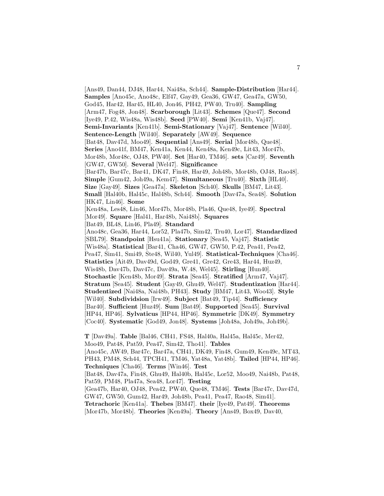[Ans49, Dan44, DJ48, Har44, Nai48a, Sch44]. **Sample-Distribution** [Har44]. **Samples** [Ano45c, Ano48c, Elf47, Gay49, Gea36, GW47, Gea47a, GW50, God45, Har42, Har45, HL40, Jon46, PH42, PW40, Tru40]. **Sampling** [Arm47, Fog48, Jon48]. **Scarborough** [Lit43]. **Schemes** [Que47]. **Second** [Iye49, P.42, Wis48a, Wis48b]. **Seed** [PW40]. **Semi** [Ken41b, Vaj47]. **Semi-Invariants** [Ken41b]. **Semi-Stationary** [Vaj47]. **Sentence** [Wil40]. **Sentence-Length** [Wil40]. **Separately** [AW49]. **Sequence** [Bat48, Dav47d, Moo49]. **Sequential** [Ans49]. **Serial** [Mor48b, Que48]. **Series** [Ano41f, BM47, Ken41a, Ken44, Ken48a, Ken49c, Lit43, Mor47b, Mor48b, Mor48c, OJ48, PW40]. **Set** [Har40, TM46]. **sets** [Car49]. **Seventh** [GW47, GW50]. **Several** [Wel47]. **Significance** [Bar47b, Bar47c, Bar41, DK47, Fin48, Har49, Joh48b, Mor48b, OJ48, Rao48]. **Simple** [Gum42, Joh49a, Kem47]. **Simultaneous** [Tru40]. **Sixth** [HL40]. **Size** [Gay49]. **Sizes** [Gea47a]. **Skeleton** [Sch40]. **Skulls** [BM47, Lit43]. **Small** [Hal40b, Hal45c, Hal48b, Sch44]. **Smooth** [Dav47a, Sea48]. **Solution** [HK47, Lin46]. **Some** [Ken48a, Les48, Lin46, Mor47b, Mor48b, Pla46, Que48, Iye49]. **Spectral** [Mor49]. **Square** [Hal41, Har48b, Nai48b]. **Squares** [Bat49, BL48, Lin46, Pla49]. **Standard** [Ano48c, Gea36, Har44, Lor52, Pla47b, Sim42, Tru40, Lor47]. **Standardized** [SBL79]. **Standpoint** [Hsu41a]. **Stationary** [Sea45, Vaj47]. **Statistic** [Wis48a]. **Statistical** [Bar41, Cha46, GW47, GW50, P.42, Pea41, Pea42, Pea47, Sim41, Smi49, Ste48, Wil40, Yul49]. **Statistical-Techniques** [Cha46]. **Statistics** [Ait49, Dav49d, God49, Gre41, Gre42, Gre43, Har44, Huz49, Wis48b, Dav47b, Dav47c, Dav49a, W.48, Wel45]. **Stirling** [Hun40]. **Stochastic** [Ken48b, Mor49]. **Strata** [Sea45]. **Stratified** [Arm47, Vaj47]. **Stratum** [Sea45]. **Student** [Gay49, Ghu49, Wel47]. **Studentization** [Har44]. **Studentized** [Nai48a, Nai48b, PH43]. **Study** [BM47, Lit43, Woo43]. **Style** [Wil40]. **Subdividsion** [Irw49]. **Subject** [Bat49, Tip44]. **Sufficiency** [Bar40]. **Sufficient** [Huz49]. **Sum** [Bat49]. **Supported** [Sea45]. **Survival** [HP44, HP46]. **Sylvaticus** [HP44, HP46]. **Symmetric** [DK49]. **Symmetry** [Coc40]. **Systematic** [God49, Jon48]. **Systems** [Joh48a, Joh49a, Joh49b]. **T** [Dav49a]. **Table** [Bal46, CH41, FS48, Hal40a, Hal45a, Hal45c, Mer42, Moo49, Pat48, Pat59, Pea47, Sim42, Tho41]. **Tables** [Ano45c, AW49, Bar47c, Bar47a, CH41, DK49, Fin48, Gum49, Ken49c, MT43,

PH43, PM48, Sch44, TPCH41, TM46, Yat48a, Yat48b]. **Tailed** [HP44, HP46]. **Techniques** [Cha46]. **Terms** [Win46]. **Test**

[Bat48, Dav47a, Fin48, Ghu49, Hal40b, Hal45c, Lor52, Moo49, Nai48b, Pat48, Pat59, PM48, Pla47a, Sea48, Lor47]. **Testing**

[Gea47b, Har40, OJ48, Pea42, PW40, Que48, TM46]. **Tests** [Bar47c, Dav47d, GW47, GW50, Gum42, Har49, Joh48b, Pea41, Pea47, Rao48, Sim41].

**Tetrachoric** [Ken41a]. **Thebes** [BM47]. **their** [Iye49, Pat49]. **Theorems** [Mor47b, Mor48b]. **Theories** [Ken49a]. **Theory** [Ans49, Box49, Dav40,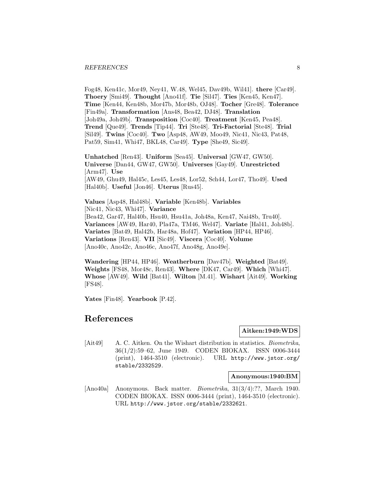#### *REFERENCES* 8

Fog48, Ken41c, Mor49, Ney41, W.48, Wel45, Dav49b, Wil41]. **there** [Car49]. **Thoery** [Smi49]. **Thought** [Ano41f]. **Tie** [Sil47]. **Ties** [Ken45, Ken47]. **Time** [Ken44, Ken48b, Mor47b, Mor48b, OJ48]. **Tocher** [Gre48]. **Tolerance** [Fin49a]. **Transformation** [Ans48, Bea42, DJ48]. **Translation** [Joh49a, Joh49b]. **Transposition** [Coc40]. **Treatment** [Ken45, Pea48]. **Trend** [Que49]. **Trends** [Tip44]. **Tri** [Ste48]. **Tri-Factorial** [Ste48]. **Trial** [Sil49]. **Twins** [Coc40]. **Two** [Asp48, AW49, Moo49, Nic41, Nic43, Pat48, Pat59, Sim41, Whi47, BKL48, Car49]. **Type** [She49, Sic49].

**Unhatched** [Ren43]. **Uniform** [Sea45]. **Universal** [GW47, GW50]. **Universe** [Dan44, GW47, GW50]. **Universes** [Gay49]. **Unrestricted** [Arm47]. **Use** [AW49, Ghu49, Hal45c, Les45, Les48, Lor52, Sch44, Lor47, Tho49]. **Used** [Hal40b]. **Useful** [Jon46]. **Uterus** [Rus45].

**Values** [Asp48, Hal48b]. **Variable** [Ken48b]. **Variables** [Nic41, Nic43, Whi47]. **Variance** [Bea42, Gar47, Hal40b, Hsu40, Hsu41a, Joh48a, Ken47, Nai48b, Tru40]. **Variances** [AW49, Har40, Pla47a, TM46, Wel47]. **Variate** [Hal41, Joh48b]. **Variates** [Bat49, Hal42b, Har48a, Hof47]. **Variation** [HP44, HP46]. **Variations** [Ren43]. **VII** [Sic49]. **Viscera** [Coc40]. **Volume** [Ano40c, Ano42c, Ano46c, Ano47f, Ano48g, Ano49e].

**Wandering** [HP44, HP46]. **Weatherburn** [Dav47b]. **Weighted** [Bat49]. **Weights** [FS48, Mor48c, Ren43]. **Where** [DK47, Car49]. **Which** [Whi47]. **Whose** [AW49]. **Wild** [Bat41]. **Wilton** [M.41]. **Wishart** [Ait49]. **Working** [FS48].

**Yates** [Fin48]. **Yearbook** [P.42].

# **References**

#### **Aitken:1949:WDS**

[Ait49] A. C. Aitken. On the Wishart distribution in statistics. Biometrika, 36(1/2):59–62, June 1949. CODEN BIOKAX. ISSN 0006-3444 (print), 1464-3510 (electronic). URL http://www.jstor.org/ stable/2332529.

**Anonymous:1940:BM**

[Ano40a] Anonymous. Back matter. Biometrika, 31(3/4):??, March 1940. CODEN BIOKAX. ISSN 0006-3444 (print), 1464-3510 (electronic). URL http://www.jstor.org/stable/2332621.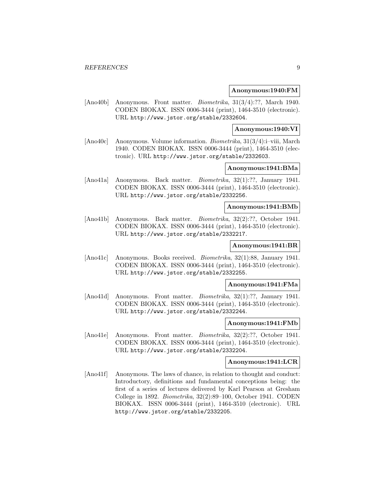#### **Anonymous:1940:FM**

[Ano40b] Anonymous. Front matter. Biometrika, 31(3/4):??, March 1940. CODEN BIOKAX. ISSN 0006-3444 (print), 1464-3510 (electronic). URL http://www.jstor.org/stable/2332604.

### **Anonymous:1940:VI**

[Ano40c] Anonymous. Volume information. Biometrika, 31(3/4):i–viii, March 1940. CODEN BIOKAX. ISSN 0006-3444 (print), 1464-3510 (electronic). URL http://www.jstor.org/stable/2332603.

# **Anonymous:1941:BMa**

[Ano41a] Anonymous. Back matter. Biometrika, 32(1):??, January 1941. CODEN BIOKAX. ISSN 0006-3444 (print), 1464-3510 (electronic). URL http://www.jstor.org/stable/2332256.

# **Anonymous:1941:BMb**

[Ano41b] Anonymous. Back matter. Biometrika, 32(2):??, October 1941. CODEN BIOKAX. ISSN 0006-3444 (print), 1464-3510 (electronic). URL http://www.jstor.org/stable/2332217.

#### **Anonymous:1941:BR**

[Ano41c] Anonymous. Books received. Biometrika, 32(1):88, January 1941. CODEN BIOKAX. ISSN 0006-3444 (print), 1464-3510 (electronic). URL http://www.jstor.org/stable/2332255.

#### **Anonymous:1941:FMa**

[Ano41d] Anonymous. Front matter. *Biometrika*, 32(1):??, January 1941. CODEN BIOKAX. ISSN 0006-3444 (print), 1464-3510 (electronic). URL http://www.jstor.org/stable/2332244.

#### **Anonymous:1941:FMb**

[Ano41e] Anonymous. Front matter. *Biometrika*, 32(2):??, October 1941. CODEN BIOKAX. ISSN 0006-3444 (print), 1464-3510 (electronic). URL http://www.jstor.org/stable/2332204.

# **Anonymous:1941:LCR**

[Ano41f] Anonymous. The laws of chance, in relation to thought and conduct: Introductory, definitions and fundamental conceptions being: the first of a series of lectures delivered by Karl Pearson at Gresham College in 1892. Biometrika, 32(2):89–100, October 1941. CODEN BIOKAX. ISSN 0006-3444 (print), 1464-3510 (electronic). URL http://www.jstor.org/stable/2332205.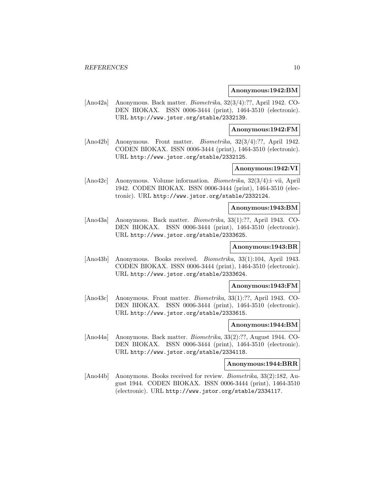#### **Anonymous:1942:BM**

[Ano42a] Anonymous. Back matter. Biometrika, 32(3/4):??, April 1942. CO-DEN BIOKAX. ISSN 0006-3444 (print), 1464-3510 (electronic). URL http://www.jstor.org/stable/2332139.

#### **Anonymous:1942:FM**

[Ano42b] Anonymous. Front matter. Biometrika, 32(3/4):??, April 1942. CODEN BIOKAX. ISSN 0006-3444 (print), 1464-3510 (electronic). URL http://www.jstor.org/stable/2332125.

# **Anonymous:1942:VI**

[Ano42c] Anonymous. Volume information. Biometrika, 32(3/4):i–vii, April 1942. CODEN BIOKAX. ISSN 0006-3444 (print), 1464-3510 (electronic). URL http://www.jstor.org/stable/2332124.

### **Anonymous:1943:BM**

[Ano43a] Anonymous. Back matter. Biometrika, 33(1):??, April 1943. CO-DEN BIOKAX. ISSN 0006-3444 (print), 1464-3510 (electronic). URL http://www.jstor.org/stable/2333625.

# **Anonymous:1943:BR**

[Ano43b] Anonymous. Books received. Biometrika, 33(1):104, April 1943. CODEN BIOKAX. ISSN 0006-3444 (print), 1464-3510 (electronic). URL http://www.jstor.org/stable/2333624.

#### **Anonymous:1943:FM**

[Ano43c] Anonymous. Front matter. Biometrika, 33(1):??, April 1943. CO-DEN BIOKAX. ISSN 0006-3444 (print), 1464-3510 (electronic). URL http://www.jstor.org/stable/2333615.

#### **Anonymous:1944:BM**

[Ano44a] Anonymous. Back matter. Biometrika, 33(2):??, August 1944. CO-DEN BIOKAX. ISSN 0006-3444 (print), 1464-3510 (electronic). URL http://www.jstor.org/stable/2334118.

# **Anonymous:1944:BRR**

[Ano44b] Anonymous. Books received for review. Biometrika, 33(2):182, August 1944. CODEN BIOKAX. ISSN 0006-3444 (print), 1464-3510 (electronic). URL http://www.jstor.org/stable/2334117.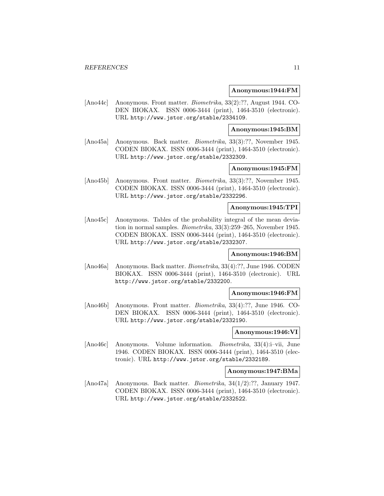#### **Anonymous:1944:FM**

[Ano44c] Anonymous. Front matter. Biometrika, 33(2):??, August 1944. CO-DEN BIOKAX. ISSN 0006-3444 (print), 1464-3510 (electronic). URL http://www.jstor.org/stable/2334109.

#### **Anonymous:1945:BM**

[Ano45a] Anonymous. Back matter. Biometrika, 33(3):??, November 1945. CODEN BIOKAX. ISSN 0006-3444 (print), 1464-3510 (electronic). URL http://www.jstor.org/stable/2332309.

# **Anonymous:1945:FM**

[Ano45b] Anonymous. Front matter. Biometrika, 33(3):??, November 1945. CODEN BIOKAX. ISSN 0006-3444 (print), 1464-3510 (electronic). URL http://www.jstor.org/stable/2332296.

# **Anonymous:1945:TPI**

[Ano45c] Anonymous. Tables of the probability integral of the mean deviation in normal samples. Biometrika, 33(3):259–265, November 1945. CODEN BIOKAX. ISSN 0006-3444 (print), 1464-3510 (electronic). URL http://www.jstor.org/stable/2332307.

#### **Anonymous:1946:BM**

[Ano46a] Anonymous. Back matter. Biometrika, 33(4):??, June 1946. CODEN BIOKAX. ISSN 0006-3444 (print), 1464-3510 (electronic). URL http://www.jstor.org/stable/2332200.

#### **Anonymous:1946:FM**

[Ano46b] Anonymous. Front matter. Biometrika, 33(4):??, June 1946. CO-DEN BIOKAX. ISSN 0006-3444 (print), 1464-3510 (electronic). URL http://www.jstor.org/stable/2332190.

### **Anonymous:1946:VI**

[Ano46c] Anonymous. Volume information. *Biometrika*, 33(4):i–vii, June 1946. CODEN BIOKAX. ISSN 0006-3444 (print), 1464-3510 (electronic). URL http://www.jstor.org/stable/2332189.

# **Anonymous:1947:BMa**

[Ano47a] Anonymous. Back matter. Biometrika, 34(1/2):??, January 1947. CODEN BIOKAX. ISSN 0006-3444 (print), 1464-3510 (electronic). URL http://www.jstor.org/stable/2332522.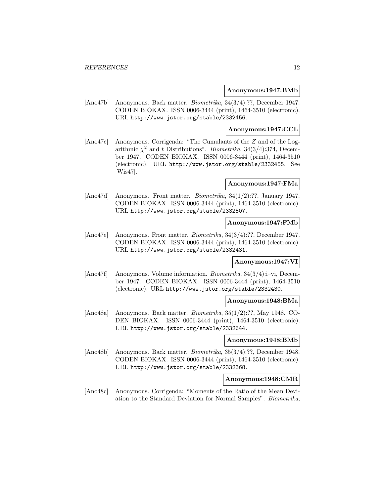#### **Anonymous:1947:BMb**

[Ano47b] Anonymous. Back matter. Biometrika, 34(3/4):??, December 1947. CODEN BIOKAX. ISSN 0006-3444 (print), 1464-3510 (electronic). URL http://www.jstor.org/stable/2332456.

#### **Anonymous:1947:CCL**

[Ano47c] Anonymous. Corrigenda: "The Cumulants of the Z and of the Logarithmic  $\chi^2$  and t Distributions". *Biometrika*, 34(3/4):374, December 1947. CODEN BIOKAX. ISSN 0006-3444 (print), 1464-3510 (electronic). URL http://www.jstor.org/stable/2332455. See [Wis47].

### **Anonymous:1947:FMa**

[Ano47d] Anonymous. Front matter. *Biometrika*, 34(1/2):??, January 1947. CODEN BIOKAX. ISSN 0006-3444 (print), 1464-3510 (electronic). URL http://www.jstor.org/stable/2332507.

#### **Anonymous:1947:FMb**

[Ano47e] Anonymous. Front matter. Biometrika, 34(3/4):??, December 1947. CODEN BIOKAX. ISSN 0006-3444 (print), 1464-3510 (electronic). URL http://www.jstor.org/stable/2332431.

# **Anonymous:1947:VI**

[Ano47f] Anonymous. Volume information. Biometrika, 34(3/4):i–vi, December 1947. CODEN BIOKAX. ISSN 0006-3444 (print), 1464-3510 (electronic). URL http://www.jstor.org/stable/2332430.

#### **Anonymous:1948:BMa**

[Ano48a] Anonymous. Back matter. Biometrika, 35(1/2):??, May 1948. CO-DEN BIOKAX. ISSN 0006-3444 (print), 1464-3510 (electronic). URL http://www.jstor.org/stable/2332644.

#### **Anonymous:1948:BMb**

[Ano48b] Anonymous. Back matter. Biometrika, 35(3/4):??, December 1948. CODEN BIOKAX. ISSN 0006-3444 (print), 1464-3510 (electronic). URL http://www.jstor.org/stable/2332368.

#### **Anonymous:1948:CMR**

[Ano48c] Anonymous. Corrigenda: "Moments of the Ratio of the Mean Deviation to the Standard Deviation for Normal Samples". Biometrika,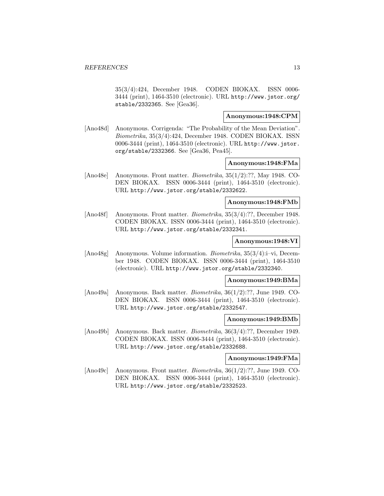35(3/4):424, December 1948. CODEN BIOKAX. ISSN 0006- 3444 (print), 1464-3510 (electronic). URL http://www.jstor.org/ stable/2332365. See [Gea36].

# **Anonymous:1948:CPM**

[Ano48d] Anonymous. Corrigenda: "The Probability of the Mean Deviation". Biometrika, 35(3/4):424, December 1948. CODEN BIOKAX. ISSN 0006-3444 (print), 1464-3510 (electronic). URL http://www.jstor. org/stable/2332366. See [Gea36, Pea45].

#### **Anonymous:1948:FMa**

[Ano48e] Anonymous. Front matter. Biometrika, 35(1/2):??, May 1948. CO-DEN BIOKAX. ISSN 0006-3444 (print), 1464-3510 (electronic). URL http://www.jstor.org/stable/2332622.

#### **Anonymous:1948:FMb**

[Ano48f] Anonymous. Front matter. Biometrika, 35(3/4):??, December 1948. CODEN BIOKAX. ISSN 0006-3444 (print), 1464-3510 (electronic). URL http://www.jstor.org/stable/2332341.

#### **Anonymous:1948:VI**

[Ano48g] Anonymous. Volume information. Biometrika, 35(3/4):i–vi, December 1948. CODEN BIOKAX. ISSN 0006-3444 (print), 1464-3510 (electronic). URL http://www.jstor.org/stable/2332340.

# **Anonymous:1949:BMa**

[Ano49a] Anonymous. Back matter. Biometrika, 36(1/2):??, June 1949. CO-DEN BIOKAX. ISSN 0006-3444 (print), 1464-3510 (electronic). URL http://www.jstor.org/stable/2332547.

# **Anonymous:1949:BMb**

[Ano49b] Anonymous. Back matter. Biometrika, 36(3/4):??, December 1949. CODEN BIOKAX. ISSN 0006-3444 (print), 1464-3510 (electronic). URL http://www.jstor.org/stable/2332688.

#### **Anonymous:1949:FMa**

[Ano49c] Anonymous. Front matter. Biometrika, 36(1/2):??, June 1949. CO-DEN BIOKAX. ISSN 0006-3444 (print), 1464-3510 (electronic). URL http://www.jstor.org/stable/2332523.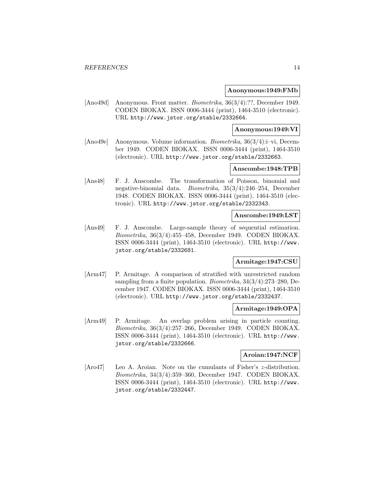#### **Anonymous:1949:FMb**

[Ano49d] Anonymous. Front matter. Biometrika, 36(3/4):??, December 1949. CODEN BIOKAX. ISSN 0006-3444 (print), 1464-3510 (electronic). URL http://www.jstor.org/stable/2332664.

#### **Anonymous:1949:VI**

[Ano49e] Anonymous. Volume information. Biometrika, 36(3/4):i–vi, December 1949. CODEN BIOKAX. ISSN 0006-3444 (print), 1464-3510 (electronic). URL http://www.jstor.org/stable/2332663.

# **Anscombe:1948:TPB**

[Ans48] F. J. Anscombe. The transformation of Poisson, binomial and negative-binomial data. Biometrika, 35(3/4):246–254, December 1948. CODEN BIOKAX. ISSN 0006-3444 (print), 1464-3510 (electronic). URL http://www.jstor.org/stable/2332343.

# **Anscombe:1949:LST**

[Ans49] F. J. Anscombe. Large-sample theory of sequential estimation. Biometrika, 36(3/4):455–458, December 1949. CODEN BIOKAX. ISSN 0006-3444 (print), 1464-3510 (electronic). URL http://www. jstor.org/stable/2332681.

# **Armitage:1947:CSU**

[Arm47] P. Armitage. A comparison of stratified with unrestricted random sampling from a finite population. Biometrika, 34(3/4):273–280, December 1947. CODEN BIOKAX. ISSN 0006-3444 (print), 1464-3510 (electronic). URL http://www.jstor.org/stable/2332437.

# **Armitage:1949:OPA**

[Arm49] P. Armitage. An overlap problem arising in particle counting. Biometrika, 36(3/4):257–266, December 1949. CODEN BIOKAX. ISSN 0006-3444 (print), 1464-3510 (electronic). URL http://www. jstor.org/stable/2332666.

#### **Aroian:1947:NCF**

[Aro47] Leo A. Aroian. Note on the cumulants of Fisher's z-distribution. Biometrika, 34(3/4):359–360, December 1947. CODEN BIOKAX. ISSN 0006-3444 (print), 1464-3510 (electronic). URL http://www. jstor.org/stable/2332447.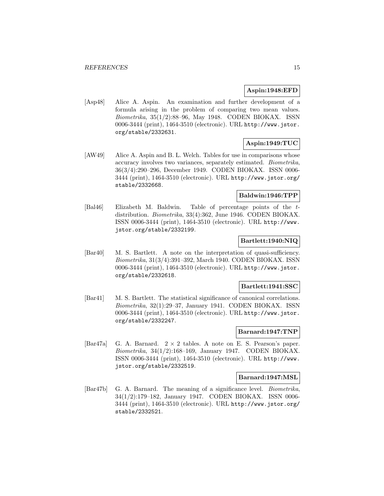# **Aspin:1948:EFD**

[Asp48] Alice A. Aspin. An examination and further development of a formula arising in the problem of comparing two mean values. Biometrika, 35(1/2):88–96, May 1948. CODEN BIOKAX. ISSN 0006-3444 (print), 1464-3510 (electronic). URL http://www.jstor. org/stable/2332631.

# **Aspin:1949:TUC**

[AW49] Alice A. Aspin and B. L. Welch. Tables for use in comparisons whose accuracy involves two variances, separately estimated. Biometrika, 36(3/4):290–296, December 1949. CODEN BIOKAX. ISSN 0006- 3444 (print), 1464-3510 (electronic). URL http://www.jstor.org/ stable/2332668.

# **Baldwin:1946:TPP**

[Bal46] Elizabeth M. Baldwin. Table of percentage points of the tdistribution. Biometrika, 33(4):362, June 1946. CODEN BIOKAX. ISSN 0006-3444 (print), 1464-3510 (electronic). URL http://www. jstor.org/stable/2332199.

# **Bartlett:1940:NIQ**

[Bar40] M. S. Bartlett. A note on the interpretation of quasi-sufficiency. Biometrika, 31(3/4):391–392, March 1940. CODEN BIOKAX. ISSN 0006-3444 (print), 1464-3510 (electronic). URL http://www.jstor. org/stable/2332618.

#### **Bartlett:1941:SSC**

[Bar41] M. S. Bartlett. The statistical significance of canonical correlations. Biometrika, 32(1):29–37, January 1941. CODEN BIOKAX. ISSN 0006-3444 (print), 1464-3510 (electronic). URL http://www.jstor. org/stable/2332247.

### **Barnard:1947:TNP**

[Bar47a] G. A. Barnard. 2 × 2 tables. A note on E. S. Pearson's paper. Biometrika, 34(1/2):168–169, January 1947. CODEN BIOKAX. ISSN 0006-3444 (print), 1464-3510 (electronic). URL http://www. jstor.org/stable/2332519.

### **Barnard:1947:MSL**

[Bar47b] G. A. Barnard. The meaning of a significance level. Biometrika, 34(1/2):179–182, January 1947. CODEN BIOKAX. ISSN 0006- 3444 (print), 1464-3510 (electronic). URL http://www.jstor.org/ stable/2332521.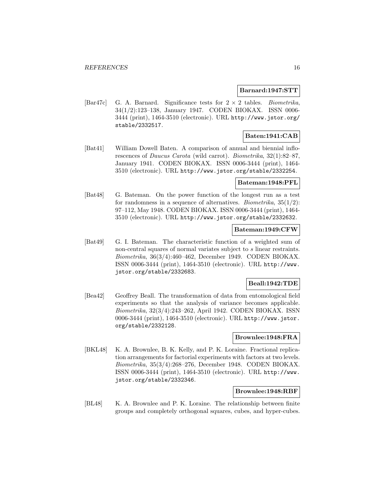#### **Barnard:1947:STT**

[Bar47c] G. A. Barnard. Significance tests for  $2 \times 2$  tables. *Biometrika*, 34(1/2):123–138, January 1947. CODEN BIOKAX. ISSN 0006- 3444 (print), 1464-3510 (electronic). URL http://www.jstor.org/ stable/2332517.

# **Baten:1941:CAB**

[Bat41] William Dowell Baten. A comparison of annual and biennial inflorescences of Daucus Carota (wild carrot). Biometrika, 32(1):82–87, January 1941. CODEN BIOKAX. ISSN 0006-3444 (print), 1464- 3510 (electronic). URL http://www.jstor.org/stable/2332254.

### **Bateman:1948:PFL**

[Bat48] G. Bateman. On the power function of the longest run as a test for randomness in a sequence of alternatives. *Biometrika*,  $35(1/2)$ : 97–112, May 1948. CODEN BIOKAX. ISSN 0006-3444 (print), 1464- 3510 (electronic). URL http://www.jstor.org/stable/2332632.

# **Bateman:1949:CFW**

[Bat49] G. I. Bateman. The characteristic function of a weighted sum of non-central squares of normal variates subject to s linear restraints. Biometrika, 36(3/4):460–462, December 1949. CODEN BIOKAX. ISSN 0006-3444 (print), 1464-3510 (electronic). URL http://www. jstor.org/stable/2332683.

### **Beall:1942:TDE**

[Bea42] Geoffrey Beall. The transformation of data from entomological field experiments so that the analysis of variance becomes applicable. Biometrika, 32(3/4):243–262, April 1942. CODEN BIOKAX. ISSN 0006-3444 (print), 1464-3510 (electronic). URL http://www.jstor. org/stable/2332128.

### **Brownlee:1948:FRA**

[BKL48] K. A. Brownlee, B. K. Kelly, and P. K. Loraine. Fractional replication arrangements for factorial experiments with factors at two levels. Biometrika, 35(3/4):268–276, December 1948. CODEN BIOKAX. ISSN 0006-3444 (print), 1464-3510 (electronic). URL http://www. jstor.org/stable/2332346.

#### **Brownlee:1948:RBF**

[BL48] K. A. Brownlee and P. K. Loraine. The relationship between finite groups and completely orthogonal squares, cubes, and hyper-cubes.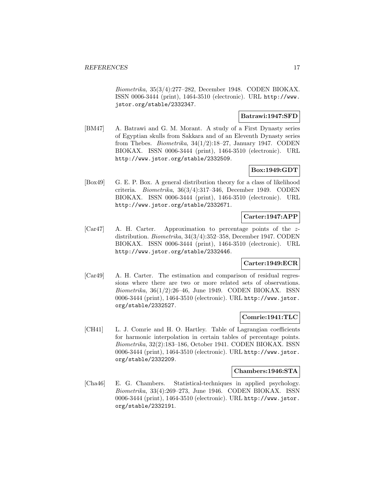Biometrika, 35(3/4):277–282, December 1948. CODEN BIOKAX. ISSN 0006-3444 (print), 1464-3510 (electronic). URL http://www. jstor.org/stable/2332347.

# **Batrawi:1947:SFD**

[BM47] A. Batrawi and G. M. Morant. A study of a First Dynasty series of Egyptian skulls from Sakkara and of an Eleventh Dynasty series from Thebes. *Biometrika*,  $34(1/2):18-27$ , January 1947. CODEN BIOKAX. ISSN 0006-3444 (print), 1464-3510 (electronic). URL http://www.jstor.org/stable/2332509.

# **Box:1949:GDT**

[Box49] G. E. P. Box. A general distribution theory for a class of likelihood criteria. Biometrika, 36(3/4):317–346, December 1949. CODEN BIOKAX. ISSN 0006-3444 (print), 1464-3510 (electronic). URL http://www.jstor.org/stable/2332671.

# **Carter:1947:APP**

[Car47] A. H. Carter. Approximation to percentage points of the zdistribution. Biometrika, 34(3/4):352–358, December 1947. CODEN BIOKAX. ISSN 0006-3444 (print), 1464-3510 (electronic). URL http://www.jstor.org/stable/2332446.

# **Carter:1949:ECR**

[Car49] A. H. Carter. The estimation and comparison of residual regressions where there are two or more related sets of observations. Biometrika, 36(1/2):26–46, June 1949. CODEN BIOKAX. ISSN 0006-3444 (print), 1464-3510 (electronic). URL http://www.jstor. org/stable/2332527.

### **Comrie:1941:TLC**

[CH41] L. J. Comrie and H. O. Hartley. Table of Lagrangian coefficients for harmonic interpolation in certain tables of percentage points. Biometrika, 32(2):183–186, October 1941. CODEN BIOKAX. ISSN 0006-3444 (print), 1464-3510 (electronic). URL http://www.jstor. org/stable/2332209.

### **Chambers:1946:STA**

[Cha46] E. G. Chambers. Statistical-techniques in applied psychology. Biometrika, 33(4):269–273, June 1946. CODEN BIOKAX. ISSN 0006-3444 (print), 1464-3510 (electronic). URL http://www.jstor. org/stable/2332191.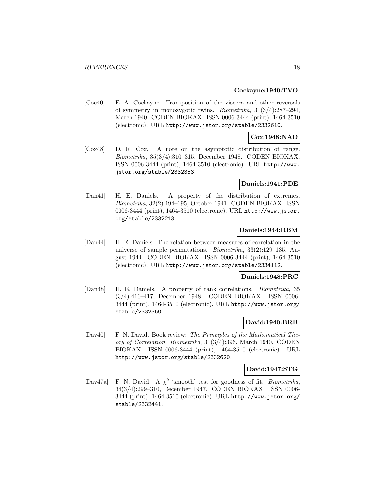#### **Cockayne:1940:TVO**

[Coc40] E. A. Cockayne. Transposition of the viscera and other reversals of symmetry in monozygotic twins. Biometrika, 31(3/4):287–294, March 1940. CODEN BIOKAX. ISSN 0006-3444 (print), 1464-3510 (electronic). URL http://www.jstor.org/stable/2332610.

#### **Cox:1948:NAD**

[Cox48] D. R. Cox. A note on the asymptotic distribution of range. Biometrika, 35(3/4):310–315, December 1948. CODEN BIOKAX. ISSN 0006-3444 (print), 1464-3510 (electronic). URL http://www. jstor.org/stable/2332353.

#### **Daniels:1941:PDE**

[Dan41] H. E. Daniels. A property of the distribution of extremes. Biometrika, 32(2):194–195, October 1941. CODEN BIOKAX. ISSN 0006-3444 (print), 1464-3510 (electronic). URL http://www.jstor. org/stable/2332213.

# **Daniels:1944:RBM**

[Dan44] H. E. Daniels. The relation between measures of correlation in the universe of sample permutations. Biometrika, 33(2):129–135, August 1944. CODEN BIOKAX. ISSN 0006-3444 (print), 1464-3510 (electronic). URL http://www.jstor.org/stable/2334112.

#### **Daniels:1948:PRC**

[Dan48] H. E. Daniels. A property of rank correlations. Biometrika, 35 (3/4):416–417, December 1948. CODEN BIOKAX. ISSN 0006- 3444 (print), 1464-3510 (electronic). URL http://www.jstor.org/ stable/2332360.

# **David:1940:BRB**

[Dav40] F. N. David. Book review: The Principles of the Mathematical Theory of Correlation. Biometrika, 31(3/4):396, March 1940. CODEN BIOKAX. ISSN 0006-3444 (print), 1464-3510 (electronic). URL http://www.jstor.org/stable/2332620.

#### **David:1947:STG**

[Dav47a] F. N. David. A  $\chi^2$  'smooth' test for goodness of fit. *Biometrika*, 34(3/4):299–310, December 1947. CODEN BIOKAX. ISSN 0006- 3444 (print), 1464-3510 (electronic). URL http://www.jstor.org/ stable/2332441.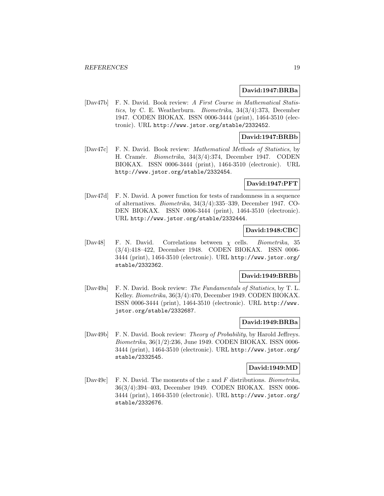#### **David:1947:BRBa**

[Dav47b] F. N. David. Book review: A First Course in Mathematical Statistics, by C. E. Weatherburn. Biometrika, 34(3/4):373, December 1947. CODEN BIOKAX. ISSN 0006-3444 (print), 1464-3510 (electronic). URL http://www.jstor.org/stable/2332452.

# **David:1947:BRBb**

[Dav47c] F. N. David. Book review: Mathematical Methods of Statistics, by H. Cramér. *Biometrika*, 34(3/4):374, December 1947. CODEN BIOKAX. ISSN 0006-3444 (print), 1464-3510 (electronic). URL http://www.jstor.org/stable/2332454.

### **David:1947:PFT**

[Dav47d] F. N. David. A power function for tests of randomness in a sequence of alternatives. Biometrika, 34(3/4):335–339, December 1947. CO-DEN BIOKAX. ISSN 0006-3444 (print), 1464-3510 (electronic). URL http://www.jstor.org/stable/2332444.

# **David:1948:CBC**

[Dav48] F. N. David. Correlations between χ cells. Biometrika, 35 (3/4):418–422, December 1948. CODEN BIOKAX. ISSN 0006- 3444 (print), 1464-3510 (electronic). URL http://www.jstor.org/ stable/2332362.

### **David:1949:BRBb**

[Dav49a] F. N. David. Book review: The Fundamentals of Statistics, by T. L. Kelley. Biometrika, 36(3/4):470, December 1949. CODEN BIOKAX. ISSN 0006-3444 (print), 1464-3510 (electronic). URL http://www. jstor.org/stable/2332687.

# **David:1949:BRBa**

[Dav49b] F. N. David. Book review: Theory of Probability, by Harold Jeffreys. Biometrika, 36(1/2):236, June 1949. CODEN BIOKAX. ISSN 0006- 3444 (print), 1464-3510 (electronic). URL http://www.jstor.org/ stable/2332545.

#### **David:1949:MD**

[Dav49c] F. N. David. The moments of the z and F distributions. Biometrika, 36(3/4):394–403, December 1949. CODEN BIOKAX. ISSN 0006- 3444 (print), 1464-3510 (electronic). URL http://www.jstor.org/ stable/2332676.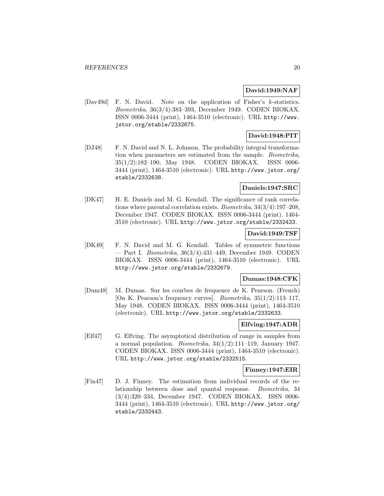#### **David:1949:NAF**

[Dav49d] F. N. David. Note on the application of Fisher's k-statistics. Biometrika, 36(3/4):383–393, December 1949. CODEN BIOKAX. ISSN 0006-3444 (print), 1464-3510 (electronic). URL http://www. jstor.org/stable/2332675.

# **David:1948:PIT**

[DJ48] F. N. David and N. L. Johnson. The probability integral transformation when parameters are estimated from the sample. Biometrika, 35(1/2):182–190, May 1948. CODEN BIOKAX. ISSN 0006- 3444 (print), 1464-3510 (electronic). URL http://www.jstor.org/ stable/2332638.

# **Daniels:1947:SRC**

[DK47] H. E. Daniels and M. G. Kendall. The significance of rank correlations where parental correlation exists. Biometrika, 34(3/4):197–208, December 1947. CODEN BIOKAX. ISSN 0006-3444 (print), 1464- 3510 (electronic). URL http://www.jstor.org/stable/2332433.

# **David:1949:TSF**

[DK49] F. N. David and M. G. Kendall. Tables of symmetric functions — Part I. Biometrika, 36(3/4):431–449, December 1949. CODEN BIOKAX. ISSN 0006-3444 (print), 1464-3510 (electronic). URL http://www.jstor.org/stable/2332679.

# **Dumas:1948:CFK**

[Dum48] M. Dumas. Sur les courbes de frequence de K. Pearson. (French) [On K. Pearson's frequency curves]. Biometrika, 35(1/2):113–117, May 1948. CODEN BIOKAX. ISSN 0006-3444 (print), 1464-3510 (electronic). URL http://www.jstor.org/stable/2332633.

#### **Elfving:1947:ADR**

[Elf47] G. Elfving. The asymptotical distribution of range in samples from a normal population. *Biometrika*,  $34(1/2):111-119$ , January 1947. CODEN BIOKAX. ISSN 0006-3444 (print), 1464-3510 (electronic). URL http://www.jstor.org/stable/2332515.

### **Finney:1947:EIR**

[Fin47] D. J. Finney. The estimation from individual records of the relationship between dose and quantal response. Biometrika, 34 (3/4):320–334, December 1947. CODEN BIOKAX. ISSN 0006- 3444 (print), 1464-3510 (electronic). URL http://www.jstor.org/ stable/2332443.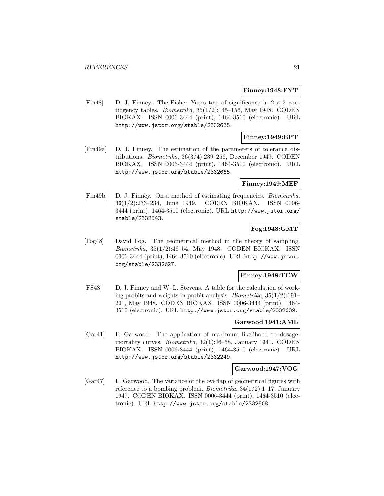#### **Finney:1948:FYT**

[Fin48] D. J. Finney. The Fisher–Yates test of significance in  $2 \times 2$  contingency tables. *Biometrika*,  $35(1/2)$ :145–156, May 1948. CODEN BIOKAX. ISSN 0006-3444 (print), 1464-3510 (electronic). URL http://www.jstor.org/stable/2332635.

# **Finney:1949:EPT**

[Fin49a] D. J. Finney. The estimation of the parameters of tolerance distributions. Biometrika, 36(3/4):239–256, December 1949. CODEN BIOKAX. ISSN 0006-3444 (print), 1464-3510 (electronic). URL http://www.jstor.org/stable/2332665.

#### **Finney:1949:MEF**

[Fin49b] D. J. Finney. On a method of estimating frequencies. Biometrika, 36(1/2):233–234, June 1949. CODEN BIOKAX. ISSN 0006- 3444 (print), 1464-3510 (electronic). URL http://www.jstor.org/ stable/2332543.

### **Fog:1948:GMT**

[Fog48] David Fog. The geometrical method in the theory of sampling. Biometrika, 35(1/2):46–54, May 1948. CODEN BIOKAX. ISSN 0006-3444 (print), 1464-3510 (electronic). URL http://www.jstor. org/stable/2332627.

# **Finney:1948:TCW**

[FS48] D. J. Finney and W. L. Stevens. A table for the calculation of working probits and weights in probit analysis. Biometrika,  $35(1/2)$ :191– 201, May 1948. CODEN BIOKAX. ISSN 0006-3444 (print), 1464- 3510 (electronic). URL http://www.jstor.org/stable/2332639.

#### **Garwood:1941:AML**

[Gar41] F. Garwood. The application of maximum likelihood to dosagemortality curves. Biometrika, 32(1):46–58, January 1941. CODEN BIOKAX. ISSN 0006-3444 (print), 1464-3510 (electronic). URL http://www.jstor.org/stable/2332249.

#### **Garwood:1947:VOG**

[Gar47] F. Garwood. The variance of the overlap of geometrical figures with reference to a bombing problem. *Biometrika*,  $34(1/2)$ :1-17, January 1947. CODEN BIOKAX. ISSN 0006-3444 (print), 1464-3510 (electronic). URL http://www.jstor.org/stable/2332508.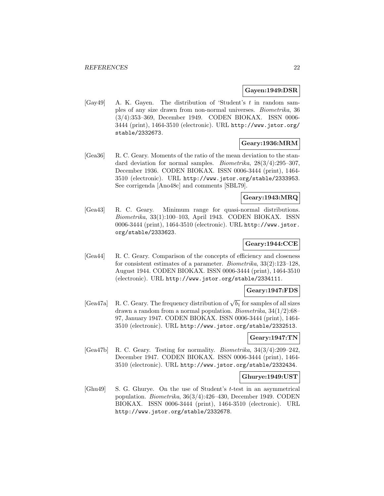#### **Gayen:1949:DSR**

[Gay49] A. K. Gayen. The distribution of 'Student's t in random samples of any size drawn from non-normal universes. Biometrika, 36 (3/4):353–369, December 1949. CODEN BIOKAX. ISSN 0006- 3444 (print), 1464-3510 (electronic). URL http://www.jstor.org/ stable/2332673.

#### **Geary:1936:MRM**

[Gea36] R. C. Geary. Moments of the ratio of the mean deviation to the standard deviation for normal samples. Biometrika, 28(3/4):295–307, December 1936. CODEN BIOKAX. ISSN 0006-3444 (print), 1464- 3510 (electronic). URL http://www.jstor.org/stable/2333953. See corrigenda [Ano48c] and comments [SBL79].

#### **Geary:1943:MRQ**

[Gea43] R. C. Geary. Minimum range for quasi-normal distributions. Biometrika, 33(1):100–103, April 1943. CODEN BIOKAX. ISSN 0006-3444 (print), 1464-3510 (electronic). URL http://www.jstor. org/stable/2333623.

### **Geary:1944:CCE**

[Gea44] R. C. Geary. Comparison of the concepts of efficiency and closeness for consistent estimates of a parameter. Biometrika, 33(2):123–128, August 1944. CODEN BIOKAX. ISSN 0006-3444 (print), 1464-3510 (electronic). URL http://www.jstor.org/stable/2334111.

### **Geary:1947:FDS**

[Gea47a] R. C. Geary. The frequency distribution of  $\sqrt{b_1}$  for samples of all sizes drawn a random from a normal population. Biometrika, 34(1/2):68– 97, January 1947. CODEN BIOKAX. ISSN 0006-3444 (print), 1464- 3510 (electronic). URL http://www.jstor.org/stable/2332513.

### **Geary:1947:TN**

[Gea47b] R. C. Geary. Testing for normality. Biometrika, 34(3/4):209–242, December 1947. CODEN BIOKAX. ISSN 0006-3444 (print), 1464- 3510 (electronic). URL http://www.jstor.org/stable/2332434.

#### **Ghurye:1949:UST**

[Ghu49] S. G. Ghurye. On the use of Student's t-test in an asymmetrical population. Biometrika, 36(3/4):426–430, December 1949. CODEN BIOKAX. ISSN 0006-3444 (print), 1464-3510 (electronic). URL http://www.jstor.org/stable/2332678.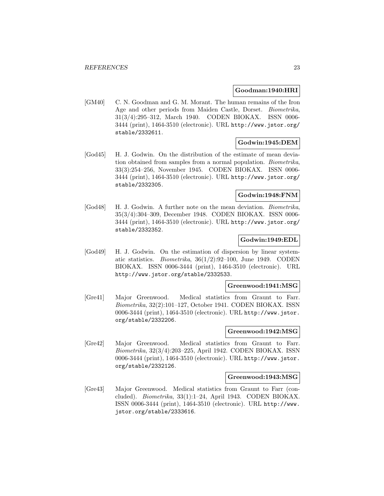#### **Goodman:1940:HRI**

[GM40] C. N. Goodman and G. M. Morant. The human remains of the Iron Age and other periods from Maiden Castle, Dorset. Biometrika, 31(3/4):295–312, March 1940. CODEN BIOKAX. ISSN 0006- 3444 (print), 1464-3510 (electronic). URL http://www.jstor.org/ stable/2332611.

# **Godwin:1945:DEM**

[God45] H. J. Godwin. On the distribution of the estimate of mean deviation obtained from samples from a normal population. Biometrika, 33(3):254–256, November 1945. CODEN BIOKAX. ISSN 0006- 3444 (print), 1464-3510 (electronic). URL http://www.jstor.org/ stable/2332305.

# **Godwin:1948:FNM**

[God48] H. J. Godwin. A further note on the mean deviation. Biometrika, 35(3/4):304–309, December 1948. CODEN BIOKAX. ISSN 0006- 3444 (print), 1464-3510 (electronic). URL http://www.jstor.org/ stable/2332352.

# **Godwin:1949:EDL**

[God49] H. J. Godwin. On the estimation of dispersion by linear systematic statistics. Biometrika, 36(1/2):92–100, June 1949. CODEN BIOKAX. ISSN 0006-3444 (print), 1464-3510 (electronic). URL http://www.jstor.org/stable/2332533.

#### **Greenwood:1941:MSG**

[Gre41] Major Greenwood. Medical statistics from Graunt to Farr. Biometrika, 32(2):101–127, October 1941. CODEN BIOKAX. ISSN 0006-3444 (print), 1464-3510 (electronic). URL http://www.jstor. org/stable/2332206.

# **Greenwood:1942:MSG**

[Gre42] Major Greenwood. Medical statistics from Graunt to Farr. Biometrika, 32(3/4):203–225, April 1942. CODEN BIOKAX. ISSN 0006-3444 (print), 1464-3510 (electronic). URL http://www.jstor. org/stable/2332126.

#### **Greenwood:1943:MSG**

[Gre43] Major Greenwood. Medical statistics from Graunt to Farr (concluded). Biometrika, 33(1):1–24, April 1943. CODEN BIOKAX. ISSN 0006-3444 (print), 1464-3510 (electronic). URL http://www. jstor.org/stable/2333616.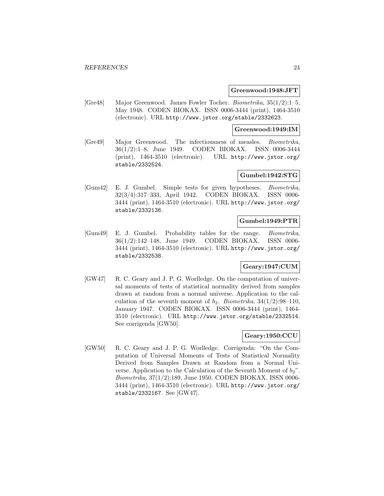#### **Greenwood:1948:JFT**

[Gre48] Major Greenwood. James Fowler Tocher. Biometrika, 35(1/2):1–5, May 1948. CODEN BIOKAX. ISSN 0006-3444 (print), 1464-3510 (electronic). URL http://www.jstor.org/stable/2332623.

#### **Greenwood:1949:IM**

[Gre49] Major Greenwood. The infectiousness of measles. Biometrika, 36(1/2):1–8, June 1949. CODEN BIOKAX. ISSN 0006-3444 (print), 1464-3510 (electronic). URL http://www.jstor.org/ stable/2332524.

# **Gumbel:1942:STG**

[Gum42] E. J. Gumbel. Simple tests for given hypotheses. Biometrika, 32(3/4):317–333, April 1942. CODEN BIOKAX. ISSN 0006- 3444 (print), 1464-3510 (electronic). URL http://www.jstor.org/ stable/2332136.

### **Gumbel:1949:PTR**

[Gum49] E. J. Gumbel. Probability tables for the range. Biometrika, 36(1/2):142–148, June 1949. CODEN BIOKAX. ISSN 0006- 3444 (print), 1464-3510 (electronic). URL http://www.jstor.org/ stable/2332538.

# **Geary:1947:CUM**

[GW47] R. C. Geary and J. P. G. Worlledge. On the computation of universal moments of tests of statistical normality derived from samples drawn at random from a normal universe. Application to the calculation of the seventh moment of  $b_2$ . Biometrika, 34(1/2):98-110, January 1947. CODEN BIOKAX. ISSN 0006-3444 (print), 1464- 3510 (electronic). URL http://www.jstor.org/stable/2332514. See corrigenda [GW50].

### **Geary:1950:CCU**

[GW50] R. C. Geary and J. P. G. Worlledge. Corrigenda: "On the Computation of Universal Moments of Tests of Statistical Normality Derived from Samples Drawn at Random from a Normal Universe. Application to the Calculation of the Seventh Moment of  $b_2$ ". Biometrika, 37(1/2):189, June 1950. CODEN BIOKAX. ISSN 0006- 3444 (print), 1464-3510 (electronic). URL http://www.jstor.org/ stable/2332167. See [GW47].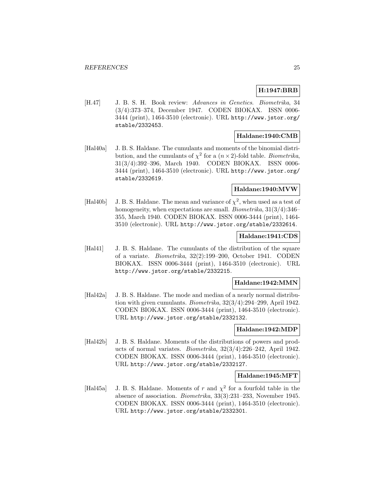# **H:1947:BRB**

[H.47] J. B. S. H. Book review: Advances in Genetics. Biometrika, 34 (3/4):373–374, December 1947. CODEN BIOKAX. ISSN 0006- 3444 (print), 1464-3510 (electronic). URL http://www.jstor.org/ stable/2332453.

# **Haldane:1940:CMB**

[Hal40a] J. B. S. Haldane. The cumulants and moments of the binomial distribution, and the cumulants of  $\chi^2$  for a  $(n \times 2)$ -fold table. *Biometrika*, 31(3/4):392–396, March 1940. CODEN BIOKAX. ISSN 0006- 3444 (print), 1464-3510 (electronic). URL http://www.jstor.org/ stable/2332619.

# **Haldane:1940:MVW**

[Hal40b] J. B. S. Haldane. The mean and variance of  $\chi^2$ , when used as a test of homogeneity, when expectations are small. Biometrika,  $31(3/4)$ :346-355, March 1940. CODEN BIOKAX. ISSN 0006-3444 (print), 1464- 3510 (electronic). URL http://www.jstor.org/stable/2332614.

### **Haldane:1941:CDS**

[Hal41] J. B. S. Haldane. The cumulants of the distribution of the square of a variate. Biometrika, 32(2):199–200, October 1941. CODEN BIOKAX. ISSN 0006-3444 (print), 1464-3510 (electronic). URL http://www.jstor.org/stable/2332215.

### **Haldane:1942:MMN**

[Hal42a] J. B. S. Haldane. The mode and median of a nearly normal distribution with given cumulants. Biometrika, 32(3/4):294–299, April 1942. CODEN BIOKAX. ISSN 0006-3444 (print), 1464-3510 (electronic). URL http://www.jstor.org/stable/2332132.

#### **Haldane:1942:MDP**

[Hal42b] J. B. S. Haldane. Moments of the distributions of powers and products of normal variates. Biometrika, 32(3/4):226–242, April 1942. CODEN BIOKAX. ISSN 0006-3444 (print), 1464-3510 (electronic). URL http://www.jstor.org/stable/2332127.

#### **Haldane:1945:MFT**

[Hal45a] J. B. S. Haldane. Moments of r and  $\chi^2$  for a fourfold table in the absence of association. Biometrika, 33(3):231–233, November 1945. CODEN BIOKAX. ISSN 0006-3444 (print), 1464-3510 (electronic). URL http://www.jstor.org/stable/2332301.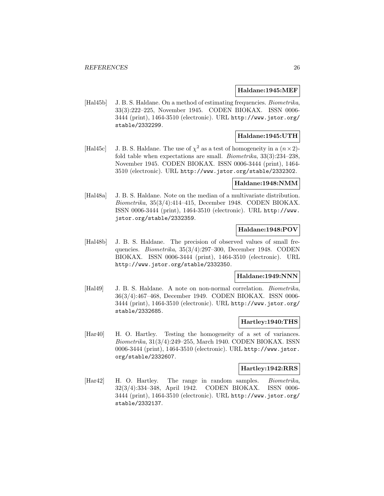### **Haldane:1945:MEF**

[Hal45b] J. B. S. Haldane. On a method of estimating frequencies. *Biometrika*, 33(3):222–225, November 1945. CODEN BIOKAX. ISSN 0006- 3444 (print), 1464-3510 (electronic). URL http://www.jstor.org/ stable/2332299.

# **Haldane:1945:UTH**

[Hal45c] J. B. S. Haldane. The use of  $\chi^2$  as a test of homogeneity in a  $(n \times 2)$ fold table when expectations are small. *Biometrika*,  $33(3):234-238$ . November 1945. CODEN BIOKAX. ISSN 0006-3444 (print), 1464- 3510 (electronic). URL http://www.jstor.org/stable/2332302.

#### **Haldane:1948:NMM**

[Hal48a] J. B. S. Haldane. Note on the median of a multivariate distribution. Biometrika, 35(3/4):414–415, December 1948. CODEN BIOKAX. ISSN 0006-3444 (print), 1464-3510 (electronic). URL http://www. jstor.org/stable/2332359.

# **Haldane:1948:POV**

[Hal48b] J. B. S. Haldane. The precision of observed values of small frequencies. Biometrika, 35(3/4):297–300, December 1948. CODEN BIOKAX. ISSN 0006-3444 (print), 1464-3510 (electronic). URL http://www.jstor.org/stable/2332350.

# **Haldane:1949:NNN**

[Hal49] J. B. S. Haldane. A note on non-normal correlation. *Biometrika*, 36(3/4):467–468, December 1949. CODEN BIOKAX. ISSN 0006- 3444 (print), 1464-3510 (electronic). URL http://www.jstor.org/ stable/2332685.

### **Hartley:1940:THS**

[Har40] H. O. Hartley. Testing the homogeneity of a set of variances. Biometrika, 31(3/4):249–255, March 1940. CODEN BIOKAX. ISSN 0006-3444 (print), 1464-3510 (electronic). URL http://www.jstor. org/stable/2332607.

#### **Hartley:1942:RRS**

[Har42] H. O. Hartley. The range in random samples. Biometrika, 32(3/4):334–348, April 1942. CODEN BIOKAX. ISSN 0006- 3444 (print), 1464-3510 (electronic). URL http://www.jstor.org/ stable/2332137.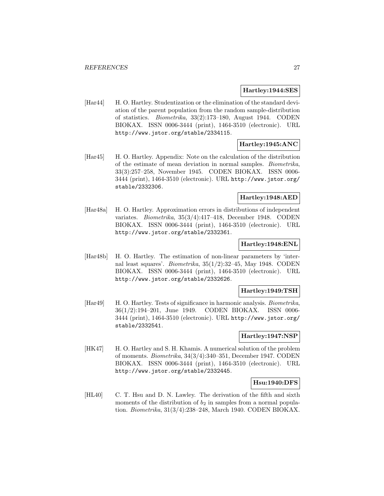### **Hartley:1944:SES**

[Har44] H. O. Hartley. Studentization or the elimination of the standard deviation of the parent population from the random sample-distribution of statistics. Biometrika, 33(2):173–180, August 1944. CODEN BIOKAX. ISSN 0006-3444 (print), 1464-3510 (electronic). URL http://www.jstor.org/stable/2334115.

# **Hartley:1945:ANC**

[Har45] H. O. Hartley. Appendix: Note on the calculation of the distribution of the estimate of mean deviation in normal samples. Biometrika, 33(3):257–258, November 1945. CODEN BIOKAX. ISSN 0006- 3444 (print), 1464-3510 (electronic). URL http://www.jstor.org/ stable/2332306.

# **Hartley:1948:AED**

[Har48a] H. O. Hartley. Approximation errors in distributions of independent variates. Biometrika, 35(3/4):417–418, December 1948. CODEN BIOKAX. ISSN 0006-3444 (print), 1464-3510 (electronic). URL http://www.jstor.org/stable/2332361.

### **Hartley:1948:ENL**

[Har48b] H. O. Hartley. The estimation of non-linear parameters by 'internal least squares'. *Biometrika*,  $35(1/2)$ :32–45, May 1948. CODEN BIOKAX. ISSN 0006-3444 (print), 1464-3510 (electronic). URL http://www.jstor.org/stable/2332626.

#### **Hartley:1949:TSH**

[Har49] H. O. Hartley. Tests of significance in harmonic analysis. *Biometrika*, 36(1/2):194–201, June 1949. CODEN BIOKAX. ISSN 0006- 3444 (print), 1464-3510 (electronic). URL http://www.jstor.org/ stable/2332541.

#### **Hartley:1947:NSP**

[HK47] H. O. Hartley and S. H. Khamis. A numerical solution of the problem of moments. Biometrika, 34(3/4):340–351, December 1947. CODEN BIOKAX. ISSN 0006-3444 (print), 1464-3510 (electronic). URL http://www.jstor.org/stable/2332445.

### **Hsu:1940:DFS**

[HL40] C. T. Hsu and D. N. Lawley. The derivation of the fifth and sixth moments of the distribution of  $b_2$  in samples from a normal population. Biometrika, 31(3/4):238–248, March 1940. CODEN BIOKAX.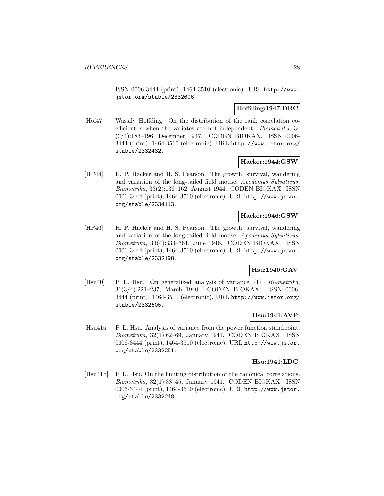ISSN 0006-3444 (print), 1464-3510 (electronic). URL http://www. jstor.org/stable/2332606.

# **Hoffding:1947:DRC**

[Hof47] Wassily Hoffding. On the distribution of the rank correlation coefficient  $\tau$  when the variates are not independent. *Biometrika*, 34 (3/4):183–196, December 1947. CODEN BIOKAX. ISSN 0006- 3444 (print), 1464-3510 (electronic). URL http://www.jstor.org/ stable/2332432.

### **Hacker:1944:GSW**

[HP44] H. P. Hacker and H. S. Pearson. The growth, survival, wandering and variation of the long-tailed field mouse, Apodemus Sylvaticus. Biometrika, 33(2):136–162, August 1944. CODEN BIOKAX. ISSN 0006-3444 (print), 1464-3510 (electronic). URL http://www.jstor. org/stable/2334113.

# **Hacker:1946:GSW**

[HP46] H. P. Hacker and H. S. Pearson. The growth, survival, wandering and variation of the long-tailed field mouse, Apodemus Sylvaticus. Biometrika, 33(4):333–361, June 1946. CODEN BIOKAX. ISSN 0006-3444 (print), 1464-3510 (electronic). URL http://www.jstor. org/stable/2332198.

# **Hsu:1940:GAV**

[Hsu40] P. L. Hsu. On generalized analysis of variance. (I). *Biometrika*, 31(3/4):221–237, March 1940. CODEN BIOKAX. ISSN 0006- 3444 (print), 1464-3510 (electronic). URL http://www.jstor.org/ stable/2332605.

### **Hsu:1941:AVP**

[Hsu41a] P. L. Hsu. Analysis of variance from the power function standpoint. Biometrika, 32(1):62–69, January 1941. CODEN BIOKAX. ISSN 0006-3444 (print), 1464-3510 (electronic). URL http://www.jstor. org/stable/2332251.

# **Hsu:1941:LDC**

[Hsu41b] P. L. Hsu. On the limiting distribution of the canonical correlations. Biometrika, 32(1):38–45, January 1941. CODEN BIOKAX. ISSN 0006-3444 (print), 1464-3510 (electronic). URL http://www.jstor. org/stable/2332248.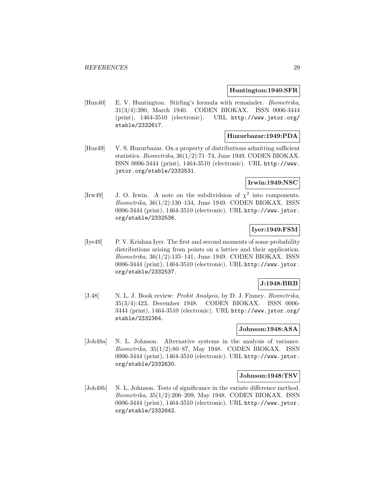#### **Huntington:1940:SFR**

[Hun40] E. V. Huntington. Stirling's formula with remainder. *Biometrika*, 31(3/4):390, March 1940. CODEN BIOKAX. ISSN 0006-3444 (print), 1464-3510 (electronic). URL http://www.jstor.org/ stable/2332617.

# **Huzurbazar:1949:PDA**

[Huz49] V. S. Huzurbazar. On a property of distributions admitting sufficient statistics. Biometrika, 36(1/2):71–74, June 1949. CODEN BIOKAX. ISSN 0006-3444 (print), 1464-3510 (electronic). URL http://www. jstor.org/stable/2332531.

# **Irwin:1949:NSC**

[Irw49] J. O. Irwin. A note on the subdividsion of  $\chi^2$  into components. Biometrika, 36(1/2):130–134, June 1949. CODEN BIOKAX. ISSN 0006-3444 (print), 1464-3510 (electronic). URL http://www.jstor. org/stable/2332536.

# **Iyer:1949:FSM**

[Iye49] P. V. Krishna Iyer. The first and second moments of some probability distributions arising from points on a lattice and their application. Biometrika, 36(1/2):135–141, June 1949. CODEN BIOKAX. ISSN 0006-3444 (print), 1464-3510 (electronic). URL http://www.jstor. org/stable/2332537.

#### **J:1948:BRB**

[J.48] N. L. J. Book review: *Probit Analysis*, by D. J. Finney. *Biometrika*, 35(3/4):423, December 1948. CODEN BIOKAX. ISSN 0006- 3444 (print), 1464-3510 (electronic). URL http://www.jstor.org/ stable/2332364.

### **Johnson:1948:ASA**

[Joh48a] N. L. Johnson. Alternative systems in the analysis of variance. Biometrika, 35(1/2):80–87, May 1948. CODEN BIOKAX. ISSN 0006-3444 (print), 1464-3510 (electronic). URL http://www.jstor. org/stable/2332630.

#### **Johnson:1948:TSV**

[Joh48b] N. L. Johnson. Tests of significance in the variate difference method. Biometrika, 35(1/2):206–209, May 1948. CODEN BIOKAX. ISSN 0006-3444 (print), 1464-3510 (electronic). URL http://www.jstor. org/stable/2332642.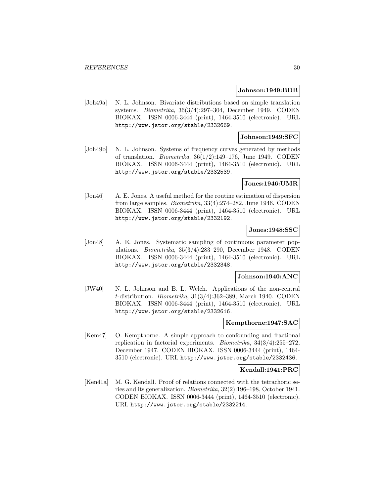#### **Johnson:1949:BDB**

[Joh49a] N. L. Johnson. Bivariate distributions based on simple translation systems. Biometrika, 36(3/4):297–304, December 1949. CODEN BIOKAX. ISSN 0006-3444 (print), 1464-3510 (electronic). URL http://www.jstor.org/stable/2332669.

### **Johnson:1949:SFC**

[Joh49b] N. L. Johnson. Systems of frequency curves generated by methods of translation. *Biometrika*,  $36(1/2)$ :149–176, June 1949. CODEN BIOKAX. ISSN 0006-3444 (print), 1464-3510 (electronic). URL http://www.jstor.org/stable/2332539.

#### **Jones:1946:UMR**

[Jon46] A. E. Jones. A useful method for the routine estimation of dispersion from large samples. Biometrika, 33(4):274–282, June 1946. CODEN BIOKAX. ISSN 0006-3444 (print), 1464-3510 (electronic). URL http://www.jstor.org/stable/2332192.

#### **Jones:1948:SSC**

[Jon48] A. E. Jones. Systematic sampling of continuous parameter populations. Biometrika, 35(3/4):283–290, December 1948. CODEN BIOKAX. ISSN 0006-3444 (print), 1464-3510 (electronic). URL http://www.jstor.org/stable/2332348.

#### **Johnson:1940:ANC**

[JW40] N. L. Johnson and B. L. Welch. Applications of the non-central  $t$ -distribution. *Biometrika*,  $31(3/4):362-389$ , March 1940. CODEN BIOKAX. ISSN 0006-3444 (print), 1464-3510 (electronic). URL http://www.jstor.org/stable/2332616.

#### **Kempthorne:1947:SAC**

[Kem47] O. Kempthorne. A simple approach to confounding and fractional replication in factorial experiments. *Biometrika*,  $34(3/4):255-272$ , December 1947. CODEN BIOKAX. ISSN 0006-3444 (print), 1464- 3510 (electronic). URL http://www.jstor.org/stable/2332436.

#### **Kendall:1941:PRC**

[Ken41a] M. G. Kendall. Proof of relations connected with the tetrachoric series and its generalization. Biometrika, 32(2):196–198, October 1941. CODEN BIOKAX. ISSN 0006-3444 (print), 1464-3510 (electronic). URL http://www.jstor.org/stable/2332214.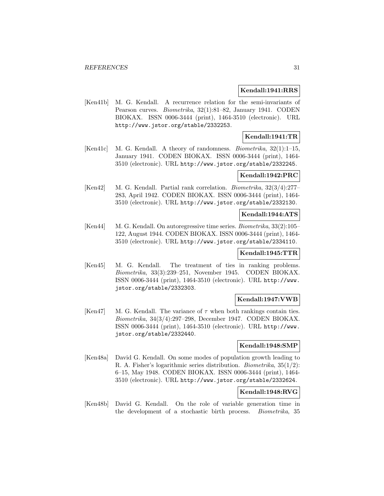#### **Kendall:1941:RRS**

[Ken41b] M. G. Kendall. A recurrence relation for the semi-invariants of Pearson curves. Biometrika, 32(1):81–82, January 1941. CODEN BIOKAX. ISSN 0006-3444 (print), 1464-3510 (electronic). URL http://www.jstor.org/stable/2332253.

# **Kendall:1941:TR**

[Ken41c] M. G. Kendall. A theory of randomness. Biometrika, 32(1):1–15, January 1941. CODEN BIOKAX. ISSN 0006-3444 (print), 1464- 3510 (electronic). URL http://www.jstor.org/stable/2332245.

# **Kendall:1942:PRC**

[Ken42] M. G. Kendall. Partial rank correlation. Biometrika, 32(3/4):277– 283, April 1942. CODEN BIOKAX. ISSN 0006-3444 (print), 1464- 3510 (electronic). URL http://www.jstor.org/stable/2332130.

#### **Kendall:1944:ATS**

[Ken44] M. G. Kendall. On autoregressive time series. *Biometrika*, 33(2):105– 122, August 1944. CODEN BIOKAX. ISSN 0006-3444 (print), 1464- 3510 (electronic). URL http://www.jstor.org/stable/2334110.

#### **Kendall:1945:TTR**

[Ken45] M. G. Kendall. The treatment of ties in ranking problems. Biometrika, 33(3):239–251, November 1945. CODEN BIOKAX. ISSN 0006-3444 (print), 1464-3510 (electronic). URL http://www. jstor.org/stable/2332303.

# **Kendall:1947:VWB**

[Ken47] M. G. Kendall. The variance of  $\tau$  when both rankings contain ties. Biometrika, 34(3/4):297–298, December 1947. CODEN BIOKAX. ISSN 0006-3444 (print), 1464-3510 (electronic). URL http://www. jstor.org/stable/2332440.

## **Kendall:1948:SMP**

[Ken48a] David G. Kendall. On some modes of population growth leading to R. A. Fisher's logarithmic series distribution. Biometrika, 35(1/2): 6–15, May 1948. CODEN BIOKAX. ISSN 0006-3444 (print), 1464- 3510 (electronic). URL http://www.jstor.org/stable/2332624.

# **Kendall:1948:RVG**

[Ken48b] David G. Kendall. On the role of variable generation time in the development of a stochastic birth process. Biometrika, 35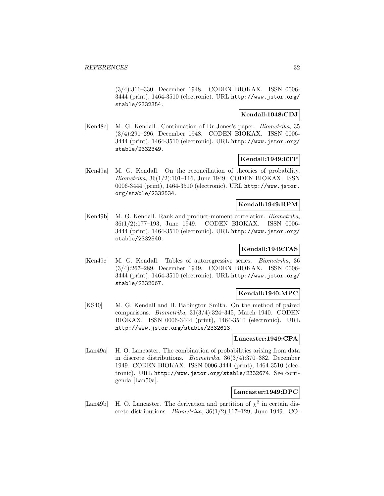(3/4):316–330, December 1948. CODEN BIOKAX. ISSN 0006- 3444 (print), 1464-3510 (electronic). URL http://www.jstor.org/ stable/2332354.

# **Kendall:1948:CDJ**

[Ken48c] M. G. Kendall. Continuation of Dr Jones's paper. Biometrika, 35 (3/4):291–296, December 1948. CODEN BIOKAX. ISSN 0006- 3444 (print), 1464-3510 (electronic). URL http://www.jstor.org/ stable/2332349.

# **Kendall:1949:RTP**

[Ken49a] M. G. Kendall. On the reconciliation of theories of probability. Biometrika, 36(1/2):101–116, June 1949. CODEN BIOKAX. ISSN 0006-3444 (print), 1464-3510 (electronic). URL http://www.jstor. org/stable/2332534.

### **Kendall:1949:RPM**

[Ken49b] M. G. Kendall. Rank and product-moment correlation. Biometrika, 36(1/2):177–193, June 1949. CODEN BIOKAX. ISSN 0006- 3444 (print), 1464-3510 (electronic). URL http://www.jstor.org/ stable/2332540.

# **Kendall:1949:TAS**

[Ken49c] M. G. Kendall. Tables of autoregressive series. Biometrika, 36 (3/4):267–289, December 1949. CODEN BIOKAX. ISSN 0006- 3444 (print), 1464-3510 (electronic). URL http://www.jstor.org/ stable/2332667.

# **Kendall:1940:MPC**

[KS40] M. G. Kendall and B. Babington Smith. On the method of paired comparisons. Biometrika, 31(3/4):324–345, March 1940. CODEN BIOKAX. ISSN 0006-3444 (print), 1464-3510 (electronic). URL http://www.jstor.org/stable/2332613.

# **Lancaster:1949:CPA**

[Lan49a] H. O. Lancaster. The combination of probabilities arising from data in discrete distributions. Biometrika, 36(3/4):370–382, December 1949. CODEN BIOKAX. ISSN 0006-3444 (print), 1464-3510 (electronic). URL http://www.jstor.org/stable/2332674. See corrigenda [Lan50a].

# **Lancaster:1949:DPC**

[Lan49b] H. O. Lancaster. The derivation and partition of  $\chi^2$  in certain discrete distributions. Biometrika, 36(1/2):117–129, June 1949. CO-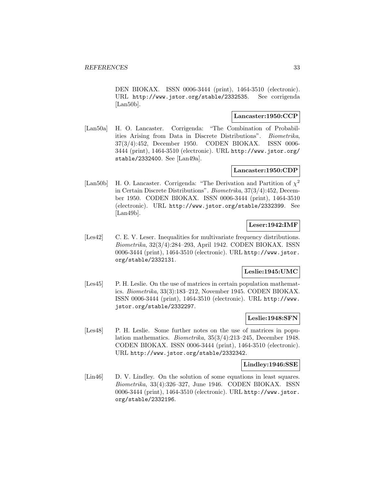DEN BIOKAX. ISSN 0006-3444 (print), 1464-3510 (electronic). URL http://www.jstor.org/stable/2332535. See corrigenda [Lan50b].

### **Lancaster:1950:CCP**

[Lan50a] H. O. Lancaster. Corrigenda: "The Combination of Probabilities Arising from Data in Discrete Distributions". Biometrika, 37(3/4):452, December 1950. CODEN BIOKAX. ISSN 0006- 3444 (print), 1464-3510 (electronic). URL http://www.jstor.org/ stable/2332400. See [Lan49a].

### **Lancaster:1950:CDP**

[Lan50b] H. O. Lancaster. Corrigenda: "The Derivation and Partition of  $\chi^2$ in Certain Discrete Distributions". Biometrika, 37(3/4):452, December 1950. CODEN BIOKAX. ISSN 0006-3444 (print), 1464-3510 (electronic). URL http://www.jstor.org/stable/2332399. See [Lan49b].

### **Leser:1942:IMF**

[Les42] C. E. V. Leser. Inequalities for multivariate frequency distributions. Biometrika, 32(3/4):284–293, April 1942. CODEN BIOKAX. ISSN 0006-3444 (print), 1464-3510 (electronic). URL http://www.jstor. org/stable/2332131.

# **Leslie:1945:UMC**

[Les45] P. H. Leslie. On the use of matrices in certain population mathematics. Biometrika, 33(3):183–212, November 1945. CODEN BIOKAX. ISSN 0006-3444 (print), 1464-3510 (electronic). URL http://www. jstor.org/stable/2332297.

#### **Leslie:1948:SFN**

[Les48] P. H. Leslie. Some further notes on the use of matrices in population mathematics. Biometrika, 35(3/4):213–245, December 1948. CODEN BIOKAX. ISSN 0006-3444 (print), 1464-3510 (electronic). URL http://www.jstor.org/stable/2332342.

#### **Lindley:1946:SSE**

[Lin46] D. V. Lindley. On the solution of some equations in least squares. Biometrika, 33(4):326–327, June 1946. CODEN BIOKAX. ISSN 0006-3444 (print), 1464-3510 (electronic). URL http://www.jstor. org/stable/2332196.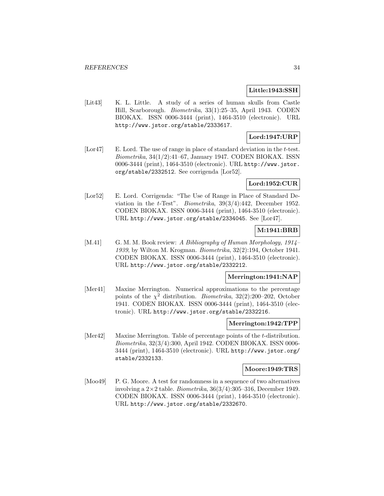#### **Little:1943:SSH**

[Lit43] K. L. Little. A study of a series of human skulls from Castle Hill, Scarborough. Biometrika, 33(1):25–35, April 1943. CODEN BIOKAX. ISSN 0006-3444 (print), 1464-3510 (electronic). URL http://www.jstor.org/stable/2333617.

# **Lord:1947:URP**

[Lor47] E. Lord. The use of range in place of standard deviation in the t-test. Biometrika, 34(1/2):41–67, January 1947. CODEN BIOKAX. ISSN 0006-3444 (print), 1464-3510 (electronic). URL http://www.jstor. org/stable/2332512. See corrigenda [Lor52].

### **Lord:1952:CUR**

[Lor52] E. Lord. Corrigenda: "The Use of Range in Place of Standard Deviation in the t-Test". Biometrika,  $39(3/4):442$ , December 1952. CODEN BIOKAX. ISSN 0006-3444 (print), 1464-3510 (electronic). URL http://www.jstor.org/stable/2334045. See [Lor47].

# **M:1941:BRB**

[M.41] G. M. M. Book review: A Bibliography of Human Morphology, 1914– 1939, by Wilton M. Krogman. Biometrika, 32(2):194, October 1941. CODEN BIOKAX. ISSN 0006-3444 (print), 1464-3510 (electronic). URL http://www.jstor.org/stable/2332212.

#### **Merrington:1941:NAP**

[Mer41] Maxine Merrington. Numerical approximations to the percentage points of the  $\chi^2$  distribution. *Biometrika*, 32(2):200–202, October 1941. CODEN BIOKAX. ISSN 0006-3444 (print), 1464-3510 (electronic). URL http://www.jstor.org/stable/2332216.

#### **Merrington:1942:TPP**

[Mer42] Maxine Merrington. Table of percentage points of the t-distribution. Biometrika, 32(3/4):300, April 1942. CODEN BIOKAX. ISSN 0006- 3444 (print), 1464-3510 (electronic). URL http://www.jstor.org/ stable/2332133.

#### **Moore:1949:TRS**

[Moo49] P. G. Moore. A test for randomness in a sequence of two alternatives involving a  $2 \times 2$  table. *Biometrika*,  $36(3/4)$ : 305–316, December 1949. CODEN BIOKAX. ISSN 0006-3444 (print), 1464-3510 (electronic). URL http://www.jstor.org/stable/2332670.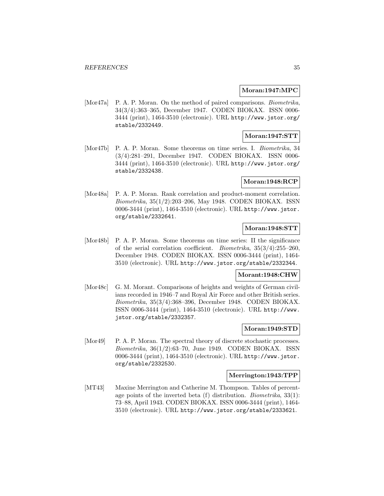#### **Moran:1947:MPC**

[Mor47a] P. A. P. Moran. On the method of paired comparisons. *Biometrika*, 34(3/4):363–365, December 1947. CODEN BIOKAX. ISSN 0006- 3444 (print), 1464-3510 (electronic). URL http://www.jstor.org/ stable/2332449.

# **Moran:1947:STT**

[Mor47b] P. A. P. Moran. Some theorems on time series. I. Biometrika, 34 (3/4):281–291, December 1947. CODEN BIOKAX. ISSN 0006- 3444 (print), 1464-3510 (electronic). URL http://www.jstor.org/ stable/2332438.

### **Moran:1948:RCP**

[Mor48a] P. A. P. Moran. Rank correlation and product-moment correlation. Biometrika, 35(1/2):203–206, May 1948. CODEN BIOKAX. ISSN 0006-3444 (print), 1464-3510 (electronic). URL http://www.jstor. org/stable/2332641.

# **Moran:1948:STT**

[Mor48b] P. A. P. Moran. Some theorems on time series: II the significance of the serial correlation coefficient. *Biometrika*,  $35(3/4):255-260$ , December 1948. CODEN BIOKAX. ISSN 0006-3444 (print), 1464- 3510 (electronic). URL http://www.jstor.org/stable/2332344.

### **Morant:1948:CHW**

[Mor48c] G. M. Morant. Comparisons of heights and weights of German civilians recorded in 1946–7 and Royal Air Force and other British series. Biometrika, 35(3/4):368–396, December 1948. CODEN BIOKAX. ISSN 0006-3444 (print), 1464-3510 (electronic). URL http://www. jstor.org/stable/2332357.

### **Moran:1949:STD**

[Mor49] P. A. P. Moran. The spectral theory of discrete stochastic processes. Biometrika, 36(1/2):63–70, June 1949. CODEN BIOKAX. ISSN 0006-3444 (print), 1464-3510 (electronic). URL http://www.jstor. org/stable/2332530.

### **Merrington:1943:TPP**

[MT43] Maxine Merrington and Catherine M. Thompson. Tables of percentage points of the inverted beta  $(f)$  distribution. *Biometrika*,  $33(1)$ : 73–88, April 1943. CODEN BIOKAX. ISSN 0006-3444 (print), 1464- 3510 (electronic). URL http://www.jstor.org/stable/2333621.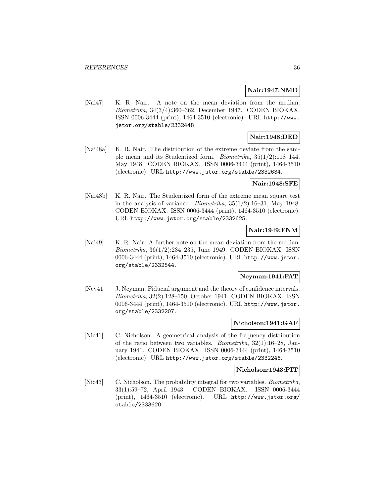#### **Nair:1947:NMD**

[Nai47] K. R. Nair. A note on the mean deviation from the median. Biometrika, 34(3/4):360–362, December 1947. CODEN BIOKAX. ISSN 0006-3444 (print), 1464-3510 (electronic). URL http://www. jstor.org/stable/2332448.

# **Nair:1948:DED**

[Nai48a] K. R. Nair. The distribution of the extreme deviate from the sample mean and its Studentized form. Biometrika, 35(1/2):118–144, May 1948. CODEN BIOKAX. ISSN 0006-3444 (print), 1464-3510 (electronic). URL http://www.jstor.org/stable/2332634.

### **Nair:1948:SFE**

[Nai48b] K. R. Nair. The Studentized form of the extreme mean square test in the analysis of variance. *Biometrika*,  $35(1/2):16-31$ , May 1948. CODEN BIOKAX. ISSN 0006-3444 (print), 1464-3510 (electronic). URL http://www.jstor.org/stable/2332625.

# **Nair:1949:FNM**

[Nai49] K. R. Nair. A further note on the mean deviation from the median. Biometrika, 36(1/2):234–235, June 1949. CODEN BIOKAX. ISSN 0006-3444 (print), 1464-3510 (electronic). URL http://www.jstor. org/stable/2332544.

# **Neyman:1941:FAT**

[Ney41] J. Neyman. Fiducial argument and the theory of confidence intervals. Biometrika, 32(2):128–150, October 1941. CODEN BIOKAX. ISSN 0006-3444 (print), 1464-3510 (electronic). URL http://www.jstor. org/stable/2332207.

# **Nicholson:1941:GAF**

[Nic41] C. Nicholson. A geometrical analysis of the frequency distribution of the ratio between two variables. Biometrika, 32(1):16–28, January 1941. CODEN BIOKAX. ISSN 0006-3444 (print), 1464-3510 (electronic). URL http://www.jstor.org/stable/2332246.

#### **Nicholson:1943:PIT**

[Nic43] C. Nicholson. The probability integral for two variables. *Biometrika*, 33(1):59–72, April 1943. CODEN BIOKAX. ISSN 0006-3444 (print), 1464-3510 (electronic). URL http://www.jstor.org/ stable/2333620.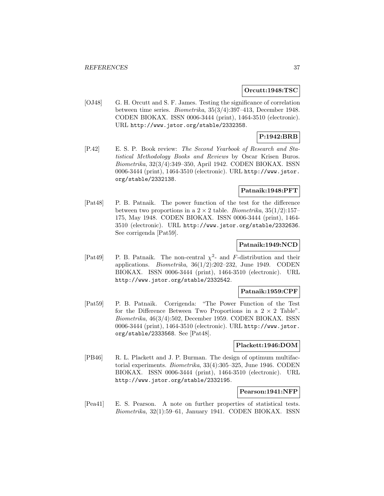#### **Orcutt:1948:TSC**

[OJ48] G. H. Orcutt and S. F. James. Testing the significance of correlation between time series. Biometrika, 35(3/4):397–413, December 1948. CODEN BIOKAX. ISSN 0006-3444 (print), 1464-3510 (electronic). URL http://www.jstor.org/stable/2332358.

# **P:1942:BRB**

[P.42] E. S. P. Book review: The Second Yearbook of Research and Statistical Methodology Books and Reviews by Oscar Krisen Buros. Biometrika, 32(3/4):349–350, April 1942. CODEN BIOKAX. ISSN 0006-3444 (print), 1464-3510 (electronic). URL http://www.jstor. org/stable/2332138.

# **Patnaik:1948:PFT**

[Pat48] P. B. Patnaik. The power function of the test for the difference between two proportions in a  $2 \times 2$  table. *Biometrika*,  $35(1/2)$ :157– 175, May 1948. CODEN BIOKAX. ISSN 0006-3444 (print), 1464- 3510 (electronic). URL http://www.jstor.org/stable/2332636. See corrigenda [Pat59].

# **Patnaik:1949:NCD**

[Pat49] P. B. Patnaik. The non-central  $\chi^2$ - and F-distribution and their applications. *Biometrika*,  $36(1/2):202-232$ , June 1949. CODEN BIOKAX. ISSN 0006-3444 (print), 1464-3510 (electronic). URL http://www.jstor.org/stable/2332542.

## **Patnaik:1959:CPF**

[Pat59] P. B. Patnaik. Corrigenda: "The Power Function of the Test for the Difference Between Two Proportions in a  $2 \times 2$  Table". Biometrika, 46(3/4):502, December 1959. CODEN BIOKAX. ISSN 0006-3444 (print), 1464-3510 (electronic). URL http://www.jstor. org/stable/2333568. See [Pat48].

## **Plackett:1946:DOM**

[PB46] R. L. Plackett and J. P. Burman. The design of optimum multifactorial experiments. Biometrika, 33(4):305–325, June 1946. CODEN BIOKAX. ISSN 0006-3444 (print), 1464-3510 (electronic). URL http://www.jstor.org/stable/2332195.

#### **Pearson:1941:NFP**

[Pea41] E. S. Pearson. A note on further properties of statistical tests. Biometrika, 32(1):59–61, January 1941. CODEN BIOKAX. ISSN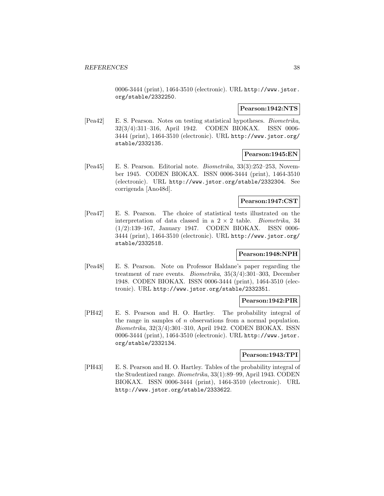0006-3444 (print), 1464-3510 (electronic). URL http://www.jstor. org/stable/2332250.

### **Pearson:1942:NTS**

[Pea42] E. S. Pearson. Notes on testing statistical hypotheses. Biometrika, 32(3/4):311–316, April 1942. CODEN BIOKAX. ISSN 0006- 3444 (print), 1464-3510 (electronic). URL http://www.jstor.org/ stable/2332135.

# **Pearson:1945:EN**

[Pea45] E. S. Pearson. Editorial note. Biometrika, 33(3):252–253, November 1945. CODEN BIOKAX. ISSN 0006-3444 (print), 1464-3510 (electronic). URL http://www.jstor.org/stable/2332304. See corrigenda [Ano48d].

### **Pearson:1947:CST**

[Pea47] E. S. Pearson. The choice of statistical tests illustrated on the interpretation of data classed in a  $2 \times 2$  table. *Biometrika*, 34 (1/2):139–167, January 1947. CODEN BIOKAX. ISSN 0006- $(1/2):139-167$ , January 1947. CODEN BIOKAX. 3444 (print), 1464-3510 (electronic). URL http://www.jstor.org/ stable/2332518.

# **Pearson:1948:NPH**

[Pea48] E. S. Pearson. Note on Professor Haldane's paper regarding the treatment of rare events. Biometrika, 35(3/4):301–303, December 1948. CODEN BIOKAX. ISSN 0006-3444 (print), 1464-3510 (electronic). URL http://www.jstor.org/stable/2332351.

#### **Pearson:1942:PIR**

[PH42] E. S. Pearson and H. O. Hartley. The probability integral of the range in samples of  $n$  observations from a normal population. Biometrika, 32(3/4):301–310, April 1942. CODEN BIOKAX. ISSN 0006-3444 (print), 1464-3510 (electronic). URL http://www.jstor. org/stable/2332134.

### **Pearson:1943:TPI**

[PH43] E. S. Pearson and H. O. Hartley. Tables of the probability integral of the Studentized range. Biometrika, 33(1):89–99, April 1943. CODEN BIOKAX. ISSN 0006-3444 (print), 1464-3510 (electronic). URL http://www.jstor.org/stable/2333622.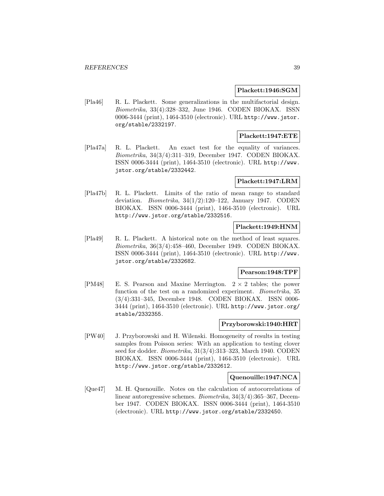#### **Plackett:1946:SGM**

[Pla46] R. L. Plackett. Some generalizations in the multifactorial design. Biometrika, 33(4):328–332, June 1946. CODEN BIOKAX. ISSN 0006-3444 (print), 1464-3510 (electronic). URL http://www.jstor. org/stable/2332197.

# **Plackett:1947:ETE**

[Pla47a] R. L. Plackett. An exact test for the equality of variances. Biometrika, 34(3/4):311–319, December 1947. CODEN BIOKAX. ISSN 0006-3444 (print), 1464-3510 (electronic). URL http://www. jstor.org/stable/2332442.

# **Plackett:1947:LRM**

[Pla47b] R. L. Plackett. Limits of the ratio of mean range to standard deviation. Biometrika, 34(1/2):120–122, January 1947. CODEN BIOKAX. ISSN 0006-3444 (print), 1464-3510 (electronic). URL http://www.jstor.org/stable/2332516.

# **Plackett:1949:HNM**

[Pla49] R. L. Plackett. A historical note on the method of least squares. Biometrika, 36(3/4):458–460, December 1949. CODEN BIOKAX. ISSN 0006-3444 (print), 1464-3510 (electronic). URL http://www. jstor.org/stable/2332682.

# **Pearson:1948:TPF**

[PM48] E. S. Pearson and Maxine Merrington.  $2 \times 2$  tables; the power function of the test on a randomized experiment. *Biometrika*, 35 (3/4):331–345, December 1948. CODEN BIOKAX. ISSN 0006- 3444 (print), 1464-3510 (electronic). URL http://www.jstor.org/ stable/2332355.

#### **Przyborowski:1940:HRT**

[PW40] J. Przyborowski and H. Wilenski. Homogeneity of results in testing samples from Poisson series: With an application to testing clover seed for dodder. Biometrika, 31(3/4):313-323, March 1940. CODEN BIOKAX. ISSN 0006-3444 (print), 1464-3510 (electronic). URL http://www.jstor.org/stable/2332612.

### **Quenouille:1947:NCA**

[Que47] M. H. Quenouille. Notes on the calculation of autocorrelations of linear autoregressive schemes. Biometrika, 34(3/4):365–367, December 1947. CODEN BIOKAX. ISSN 0006-3444 (print), 1464-3510 (electronic). URL http://www.jstor.org/stable/2332450.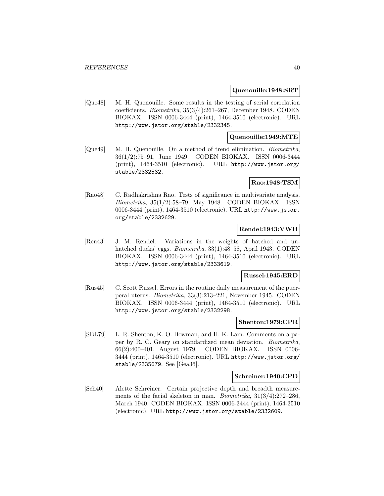#### **Quenouille:1948:SRT**

[Que48] M. H. Quenouille. Some results in the testing of serial correlation coefficients. Biometrika, 35(3/4):261–267, December 1948. CODEN BIOKAX. ISSN 0006-3444 (print), 1464-3510 (electronic). URL http://www.jstor.org/stable/2332345.

#### **Quenouille:1949:MTE**

[Que49] M. H. Quenouille. On a method of trend elimination. Biometrika, 36(1/2):75–91, June 1949. CODEN BIOKAX. ISSN 0006-3444 (print), 1464-3510 (electronic). URL http://www.jstor.org/ stable/2332532.

### **Rao:1948:TSM**

[Rao48] C. Radhakrishna Rao. Tests of significance in multivariate analysis. Biometrika, 35(1/2):58–79, May 1948. CODEN BIOKAX. ISSN 0006-3444 (print), 1464-3510 (electronic). URL http://www.jstor. org/stable/2332629.

# **Rendel:1943:VWH**

[Ren43] J. M. Rendel. Variations in the weights of hatched and unhatched ducks' eggs. Biometrika, 33(1):48–58, April 1943. CODEN BIOKAX. ISSN 0006-3444 (print), 1464-3510 (electronic). URL http://www.jstor.org/stable/2333619.

# **Russel:1945:ERD**

[Rus45] C. Scott Russel. Errors in the routine daily measurement of the puerperal uterus. Biometrika, 33(3):213–221, November 1945. CODEN BIOKAX. ISSN 0006-3444 (print), 1464-3510 (electronic). URL http://www.jstor.org/stable/2332298.

#### **Shenton:1979:CPR**

[SBL79] L. R. Shenton, K. O. Bowman, and H. K. Lam. Comments on a paper by R. C. Geary on standardized mean deviation. Biometrika, 66(2):400–401, August 1979. CODEN BIOKAX. ISSN 0006- 3444 (print), 1464-3510 (electronic). URL http://www.jstor.org/ stable/2335679. See [Gea36].

#### **Schreiner:1940:CPD**

[Sch40] Alette Schreiner. Certain projective depth and breadth measurements of the facial skeleton in man. Biometrika, 31(3/4):272–286, March 1940. CODEN BIOKAX. ISSN 0006-3444 (print), 1464-3510 (electronic). URL http://www.jstor.org/stable/2332609.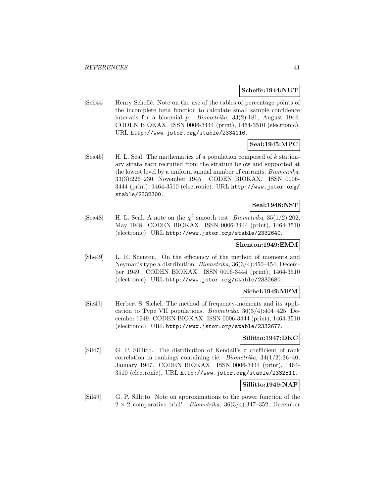#### **Scheffe:1944:NUT**

[Sch44] Henry Scheffé. Note on the use of the tables of percentage points of the incomplete beta function to calculate small sample confidence intervals for a binomial p. Biometrika, 33(2):181, August 1944. CODEN BIOKAX. ISSN 0006-3444 (print), 1464-3510 (electronic). URL http://www.jstor.org/stable/2334116.

# **Seal:1945:MPC**

[Sea45] H. L. Seal. The mathematics of a population composed of k stationary strata each recruited from the stratum below and supported at the lowest level by a uniform annual number of entrants. Biometrika, 33(3):226–230, November 1945. CODEN BIOKAX. ISSN 0006- 3444 (print), 1464-3510 (electronic). URL http://www.jstor.org/ stable/2332300.

# **Seal:1948:NST**

[Sea48] H. L. Seal. A note on the  $\chi^2$  smooth test. *Biometrika*, 35(1/2):202. May 1948. CODEN BIOKAX. ISSN 0006-3444 (print), 1464-3510 (electronic). URL http://www.jstor.org/stable/2332640.

#### **Shenton:1949:EMM**

[She49] L. R. Shenton. On the efficiency of the method of moments and Neyman's type a distribution. Biometrika, 36(3/4):450–454, December 1949. CODEN BIOKAX. ISSN 0006-3444 (print), 1464-3510 (electronic). URL http://www.jstor.org/stable/2332680.

## **Sichel:1949:MFM**

[Sic49] Herbert S. Sichel. The method of frequency-moments and its application to Type VII populations. Biometrika, 36(3/4):404–425, December 1949. CODEN BIOKAX. ISSN 0006-3444 (print), 1464-3510 (electronic). URL http://www.jstor.org/stable/2332677.

#### **Sillitto:1947:DKC**

[Sil47] G. P. Sillitto. The distribution of Kendall's  $\tau$  coefficient of rank correlation in rankings containing tie. Biometrika, 34(1/2):36–40, January 1947. CODEN BIOKAX. ISSN 0006-3444 (print), 1464- 3510 (electronic). URL http://www.jstor.org/stable/2332511.

### **Sillitto:1949:NAP**

[Sil49] G. P. Sillitto. Note on approximations to the power function of the  $2 \times 2$  comparative trial'. *Biometrika*, 36(3/4):347-352, December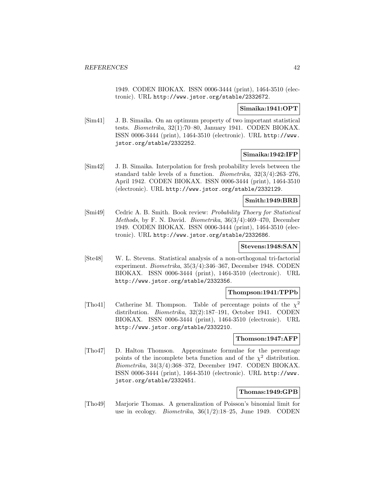1949. CODEN BIOKAX. ISSN 0006-3444 (print), 1464-3510 (electronic). URL http://www.jstor.org/stable/2332672.

# **Simaika:1941:OPT**

[Sim41] J. B. Simaika. On an optimum property of two important statistical tests. Biometrika, 32(1):70–80, January 1941. CODEN BIOKAX. ISSN 0006-3444 (print), 1464-3510 (electronic). URL http://www. jstor.org/stable/2332252.

### **Simaika:1942:IFP**

[Sim42] J. B. Simaika. Interpolation for fresh probability levels between the standard table levels of a function. Biometrika, 32(3/4):263–276, April 1942. CODEN BIOKAX. ISSN 0006-3444 (print), 1464-3510 (electronic). URL http://www.jstor.org/stable/2332129.

### **Smith:1949:BRB**

[Smi49] Cedric A. B. Smith. Book review: Probability Thoery for Statistical Methods, by F. N. David. Biometrika, 36(3/4):469–470, December 1949. CODEN BIOKAX. ISSN 0006-3444 (print), 1464-3510 (electronic). URL http://www.jstor.org/stable/2332686.

# **Stevens:1948:SAN**

[Ste48] W. L. Stevens. Statistical analysis of a non-orthogonal tri-factorial experiment. Biometrika, 35(3/4):346–367, December 1948. CODEN BIOKAX. ISSN 0006-3444 (print), 1464-3510 (electronic). URL http://www.jstor.org/stable/2332356.

### **Thompson:1941:TPPb**

[Tho41] Catherine M. Thompson. Table of percentage points of the  $\chi^2$ distribution. Biometrika, 32(2):187–191, October 1941. CODEN BIOKAX. ISSN 0006-3444 (print), 1464-3510 (electronic). URL http://www.jstor.org/stable/2332210.

### **Thomson:1947:AFP**

[Tho47] D. Halton Thomson. Approximate formulae for the percentage points of the incomplete beta function and of the  $\chi^2$  distribution. Biometrika, 34(3/4):368–372, December 1947. CODEN BIOKAX. ISSN 0006-3444 (print), 1464-3510 (electronic). URL http://www. jstor.org/stable/2332451.

## **Thomas:1949:GPB**

[Tho49] Marjorie Thomas. A generalization of Poisson's binomial limit for use in ecology. *Biometrika*,  $36(1/2):18-25$ , June 1949. CODEN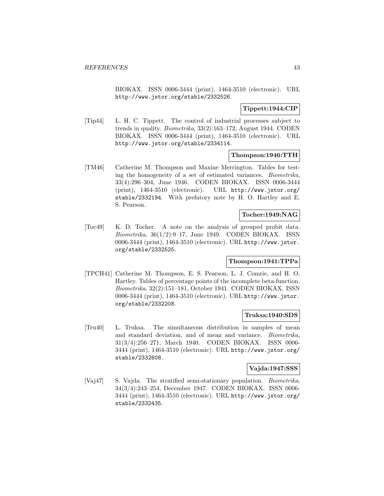BIOKAX. ISSN 0006-3444 (print), 1464-3510 (electronic). URL http://www.jstor.org/stable/2332526.

# **Tippett:1944:CIP**

[Tip44] L. H. C. Tippett. The control of industrial processes subject to trends in quality. Biometrika, 33(2):163–172, August 1944. CODEN BIOKAX. ISSN 0006-3444 (print), 1464-3510 (electronic). URL http://www.jstor.org/stable/2334114.

### **Thompson:1946:TTH**

[TM46] Catherine M. Thompson and Maxine Merrington. Tables for testing the homogeneity of a set of estimated variances. Biometrika, 33(4):296–304, June 1946. CODEN BIOKAX. ISSN 0006-3444 (print), 1464-3510 (electronic). URL http://www.jstor.org/ stable/2332194. With prefatory note by H. O. Hartley and E. S. Pearson.

#### **Tocher:1949:NAG**

[Toc49] K. D. Tocher. A note on the analysis of grouped probit data. Biometrika,  $36(1/2):9-17$ , June 1949. CODEN BIOKAX. ISSN 0006-3444 (print), 1464-3510 (electronic). URL http://www.jstor. org/stable/2332525.

# **Thompson:1941:TPPa**

[TPCH41] Catherine M. Thompson, E. S. Pearson, L. J. Comrie, and H. O. Hartley. Tables of percentage points of the incomplete beta-function. Biometrika, 32(2):151–181, October 1941. CODEN BIOKAX. ISSN 0006-3444 (print), 1464-3510 (electronic). URL http://www.jstor. org/stable/2332208.

### **Truksa:1940:SDS**

[Tru40] L. Truksa. The simultaneous distribution in samples of mean and standard deviation, and of mean and variance. Biometrika, 31(3/4):256–271, March 1940. CODEN BIOKAX. ISSN 0006- 3444 (print), 1464-3510 (electronic). URL http://www.jstor.org/ stable/2332608.

### **Vajda:1947:SSS**

[Vaj47] S. Vajda. The stratified semi-stationary population. Biometrika, 34(3/4):243–254, December 1947. CODEN BIOKAX. ISSN 0006- 3444 (print), 1464-3510 (electronic). URL http://www.jstor.org/ stable/2332435.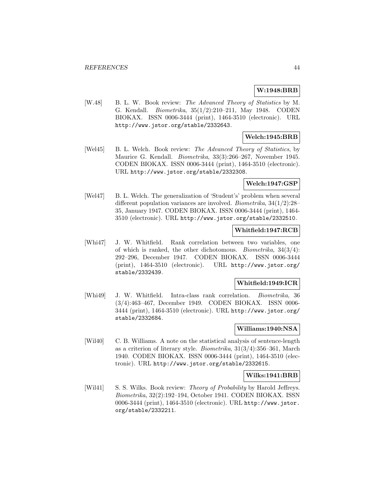# **W:1948:BRB**

[W.48] B. L. W. Book review: The Advanced Theory of Statistics by M. G. Kendall. Biometrika, 35(1/2):210–211, May 1948. CODEN BIOKAX. ISSN 0006-3444 (print), 1464-3510 (electronic). URL http://www.jstor.org/stable/2332643.

# **Welch:1945:BRB**

[Wel45] B. L. Welch. Book review: The Advanced Theory of Statistics, by Maurice G. Kendall. Biometrika, 33(3):266–267, November 1945. CODEN BIOKAX. ISSN 0006-3444 (print), 1464-3510 (electronic). URL http://www.jstor.org/stable/2332308.

### **Welch:1947:GSP**

[Wel47] B. L. Welch. The generalization of 'Student's' problem when several different population variances are involved. Biometrika, 34(1/2):28– 35, January 1947. CODEN BIOKAX. ISSN 0006-3444 (print), 1464- 3510 (electronic). URL http://www.jstor.org/stable/2332510.

# **Whitfield:1947:RCB**

[Whi47] J. W. Whitfield. Rank correlation between two variables, one of which is ranked, the other dichotomous. *Biometrika*,  $34(3/4)$ : 292–296, December 1947. CODEN BIOKAX. ISSN 0006-3444 (print), 1464-3510 (electronic). URL http://www.jstor.org/ stable/2332439.

### **Whitfield:1949:ICR**

[Whi49] J. W. Whitfield. Intra-class rank correlation. Biometrika, 36 (3/4):463–467, December 1949. CODEN BIOKAX. ISSN 0006- 3444 (print), 1464-3510 (electronic). URL http://www.jstor.org/ stable/2332684.

#### **Williams:1940:NSA**

[Wil40] C. B. Williams. A note on the statistical analysis of sentence-length as a criterion of literary style. *Biometrika*,  $31(3/4):356-361$ , March 1940. CODEN BIOKAX. ISSN 0006-3444 (print), 1464-3510 (electronic). URL http://www.jstor.org/stable/2332615.

### **Wilks:1941:BRB**

[Wil41] S. S. Wilks. Book review: *Theory of Probability* by Harold Jeffreys. Biometrika, 32(2):192–194, October 1941. CODEN BIOKAX. ISSN 0006-3444 (print), 1464-3510 (electronic). URL http://www.jstor. org/stable/2332211.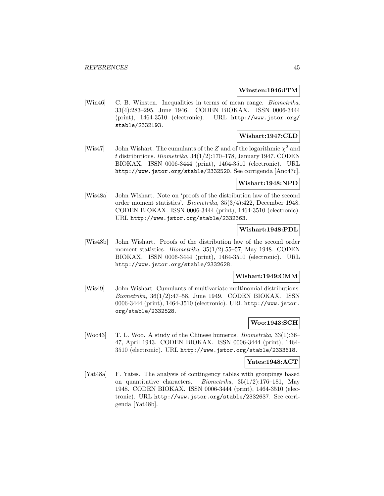#### **Winsten:1946:ITM**

[Win46] C. B. Winsten. Inequalities in terms of mean range. Biometrika, 33(4):283–295, June 1946. CODEN BIOKAX. ISSN 0006-3444 (print), 1464-3510 (electronic). URL http://www.jstor.org/ stable/2332193.

# **Wishart:1947:CLD**

[Wis47] John Wishart. The cumulants of the Z and of the logarithmic  $\chi^2$  and t distributions. Biometrika, 34(1/2):170–178, January 1947. CODEN BIOKAX. ISSN 0006-3444 (print), 1464-3510 (electronic). URL http://www.jstor.org/stable/2332520. See corrigenda [Ano47c].

#### **Wishart:1948:NPD**

[Wis48a] John Wishart. Note on 'proofs of the distribution law of the second order moment statistics'. Biometrika, 35(3/4):422, December 1948. CODEN BIOKAX. ISSN 0006-3444 (print), 1464-3510 (electronic). URL http://www.jstor.org/stable/2332363.

# **Wishart:1948:PDL**

[Wis48b] John Wishart. Proofs of the distribution law of the second order moment statistics. *Biometrika*, 35(1/2):55–57, May 1948. CODEN BIOKAX. ISSN 0006-3444 (print), 1464-3510 (electronic). URL http://www.jstor.org/stable/2332628.

# **Wishart:1949:CMM**

[Wis49] John Wishart. Cumulants of multivariate multinomial distributions. Biometrika, 36(1/2):47–58, June 1949. CODEN BIOKAX. ISSN 0006-3444 (print), 1464-3510 (electronic). URL http://www.jstor. org/stable/2332528.

## **Woo:1943:SCH**

[Woo43] T. L. Woo. A study of the Chinese humerus. Biometrika, 33(1):36– 47, April 1943. CODEN BIOKAX. ISSN 0006-3444 (print), 1464- 3510 (electronic). URL http://www.jstor.org/stable/2333618.

# **Yates:1948:ACT**

[Yat48a] F. Yates. The analysis of contingency tables with groupings based on quantitative characters. Biometrika,  $35(1/2):176-181$ , May 1948. CODEN BIOKAX. ISSN 0006-3444 (print), 1464-3510 (electronic). URL http://www.jstor.org/stable/2332637. See corrigenda [Yat48b].